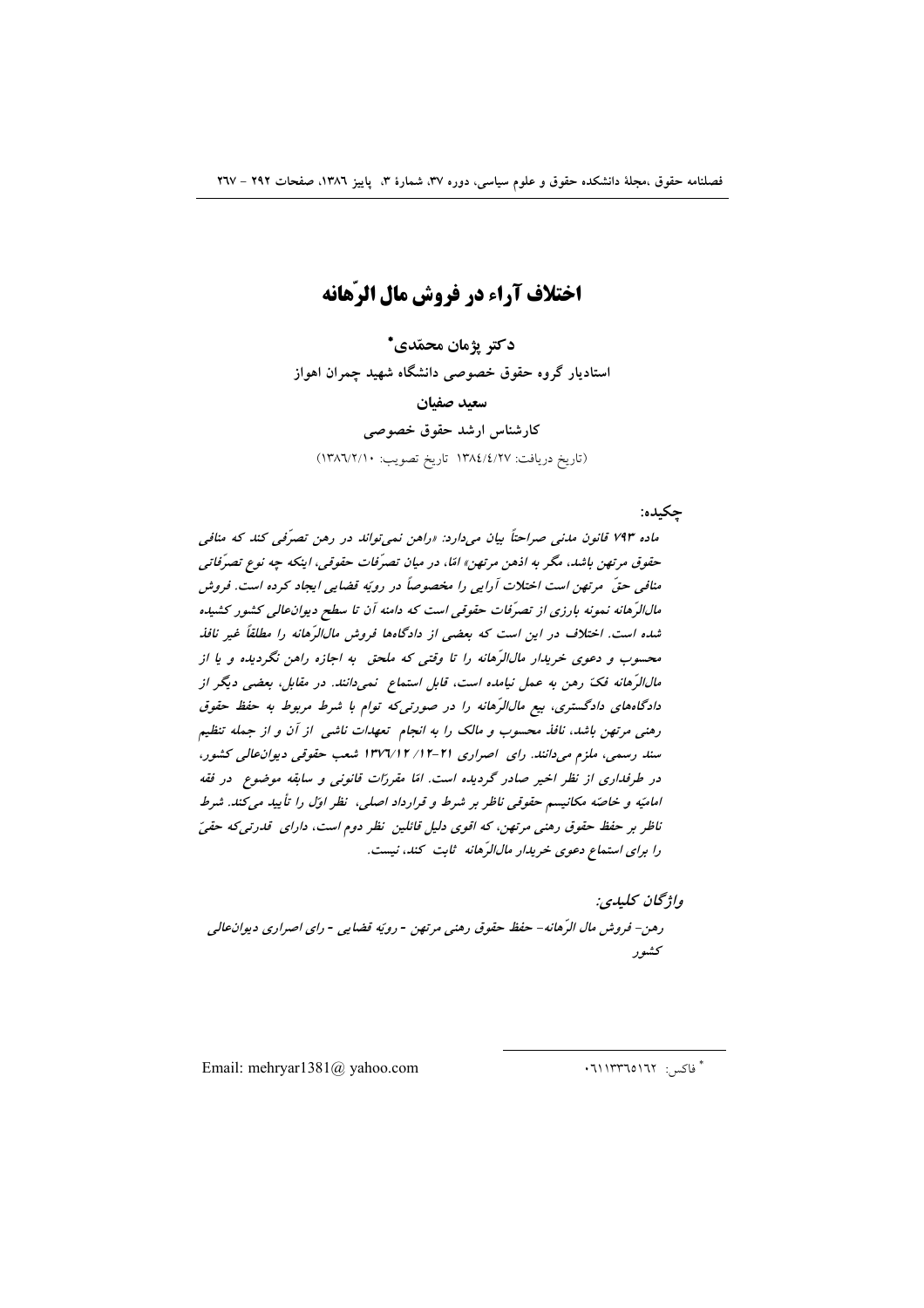# اختلاف آراء در فروش مال الرّهانه

دكتر يژمان محمّدي\* استادیار گروه حقوق خصوصی دانشگاه شهید چمران اهواز سعيد صفيان كارشناس ارشد حقوق خصوصى (تاريخ دريافت: ١٣٨٤/٤/٢٧ تاريخ تصويب: ١٣٨٦/٢/١٠)

#### حكىدە:

ماده ۷۹۳ قانون مدنی صراحتاً بیان میدارد: «راهن نمی تواند در رهن تصرّفی کند که منافی حقوق مرتهن باشد، مگر به اذهن مرتهن» امّا، در میان تصرّفات حقوقی، اینکه چه نوع تصرّفاتی منافی حقّ مرتهن است اختلات آرایی را مخصوصاً در رویّه قضایی ایجاد کرده است. فروش مالالرِّهانه نمونه بارزی از تصرّفات حقوقی است که دامنه آن تا سطح دیوانعالی کشور کشیده شده است. اختلاف در این است که بعضی از دادگاهها فروش مالالرّهانه را مطلقاً غیر نافذ محسوب و دعوی خریدار مال الرَّهانه را تا وقتی که ملحق به اجازه راهن نگردیده و یا از مالالرَّهانه فکّ رهن به عمل نیامده است، قابل استماع ِ نمیدانند. در مقابل، بعضی دیگر از دادگاههای دادگستری، بیع مال/ارّهانه را در صورتی که توام با شرط مربوط به حفظ حقوق رهنی مرتهن باشد، نافذ محسوب و مالک را به انجام تعهدات ناشی از آن و از جمله تنظیم سند رسمی، ملزم می دانند. رای اصراری ۲۱-۱۲/ ۱۳۷۲/۱۲ شعب حقوقی دیوان عالی کشور، در طرفداری از نظر اخیر صادر گردیده است. امّا مقررّات قانونی و سابقه موضوع ٍ در فقه امامیّه و خاصّه مکانیسم حقوقی ناظر بر شرط و قرارداد اصلی، نظر اوّل را تأیید میکند. شرط ناظر بر حفظ حقوق رهنی مرتهن، که اقوی دلیل قائلین نظر دوم است، دارای قدرتی که حقیّ را برای استماع دعوی خریدار مالالرّهانه ثابت کند، نیست.

واژىحان يىلىدى: رهن- فروش مال الرِّهانه- حفظ حقوق رهني مرتهن - رويّه قضايي - راي اصراري ديوان عالي كشور

Email: mehryar1381@ yahoo.com

ٌ فاکس: ١٦٢٥١٦٢٠: ٠٦١١٣٣٦٥١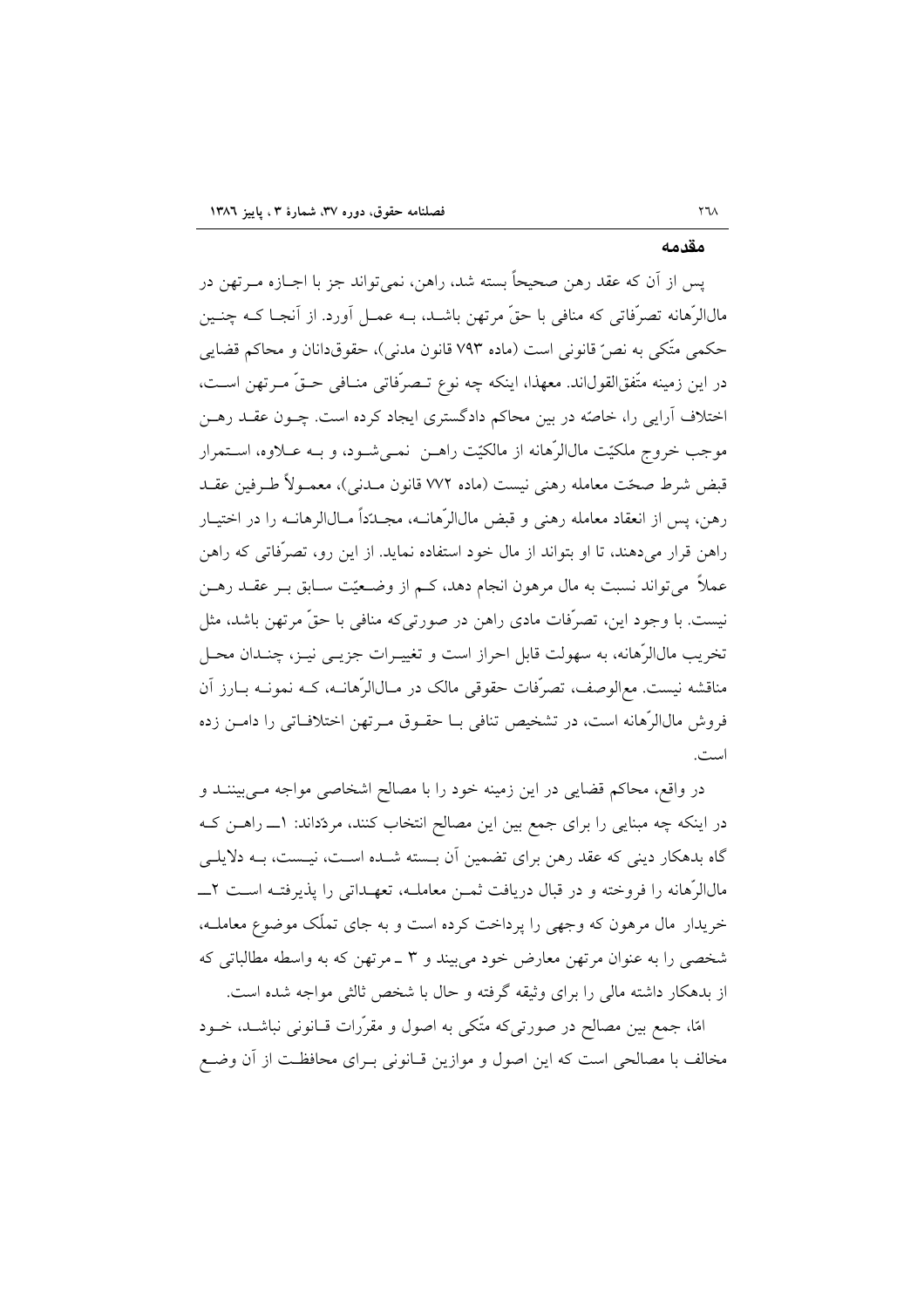#### مقدمه

يس از آن كه عقد رهن صحيحاً بسته شد، راهن، نمي تواند جز با اجــازه مــرتهن در مالالرَّهانه تصرُّفاتي كه منافي با حقٌّ مرتهن باشـد، بـه عمـل أورد. از أنجـا كــه چنـين حکمی متّکی به نصّ قانونی است (ماده ۷۹۳ قانون مدنی)، حقوقدانان و محاکم قضایی در اين زمينه متّفقالقولاند. معهذا، اينكه چه نوع تـصرّفاتي منـافي حـقّ مـرتهن اسـت، اختلاف آرایی را، خاصّه در بین محاکم دادگستری ایجاد کرده است. چــون عقــد رهــن موجب خروج ملکیّت مالالرّهانه از مالکیّت راهــن نمــیشــود، و بــه عــلاوه، اســتمرار قبض شرط صحّت معامله رهني نيست (ماده ٧٧٢ قانون ميدني)، معمـولاً طـرفين عقـد رهن، پس از انعقاد معامله رهنی و قبض مالالرّهانــه، مجــدّداً مــالالرهانــه را در اختبــار راهن قرار می دهند، تا او پتواند از مال خود استفاده نماید. از این رو، تصرّفاتی که راهن عملاً می تواند نسبت به مال مرهون انجام دهد، کـم از وضـعیّت سـابق بـر عقـد رهـن نيست. با وجود اين، تصرّفات مادي راهن در صورتي كه منافي با حقٍّ مرتهن باشد، مثل تخریب مالالرّهانه، به سهولت قابل احراز است و تغییـرات جزیــی نیــز، چنــدان محــل مناقشه نیست. مع|لوصف، تصرّفات حقوقی مالک در مـال|لرّهانــه، کــه نمونــه بــارز آن فروش مالالرٌهانه است، در تشخیص تنافی بــا حقــوق مــرتهن اختلافــاتی را دامــن زده است.

در واقع، محاکم قضایی در این زمینه خود را با مصالح اشخاصی مواجه مـیبیننــد و در اینکه چه مبنایی را برای جمع بین این مصالح انتخاب کنند، مردّداند: ۱ـــ راهــن کــه گاه بدهکار دینی که عقد رهن برای تضمین آن بـسته شـده اسـت، نیـست، بـه دلایلـی خریدار مال مرهون که وجهی را پرداخت کرده است و به جای تملّک موضوع معاملـه، شخصی را به عنوان مرتهن معارض خود میبیند و ۳ ـ مرتهن که به واسطه مطالباتی که از بدهکار داشته مالی را برای وثیقه گرفته و حال با شخص ثالثی مواجه شده است.

امًا، جمع بين مصالح در صورتي كه متّكي به اصول و مقرّرات قــانوني نباشــد، خــود مخالف با مصالحی است که این اصول و موازین قـانونی بـرای محافظـت از آن وضـع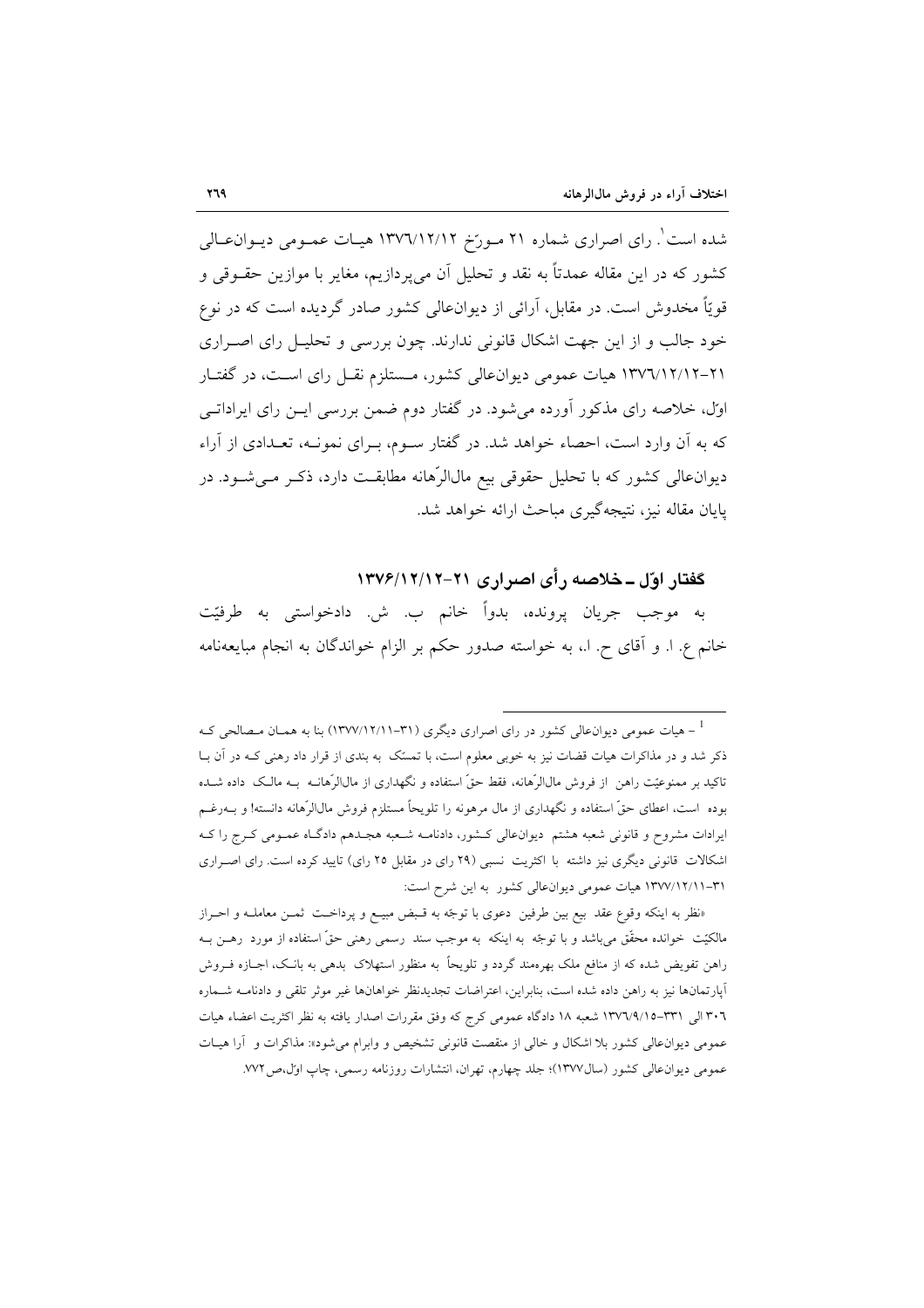شده است ٰ. رای اصراری شماره ۲۱ مـورّخ ۱۳۷٦/۱۲/۱۲ هیـات عمـومی دیـوان١عـالی کشور که در این مقاله عمدتاً به نقد و تحلیل آن میپردازیم، مغایر با موازین حقــوقی و قویّاً مخدوش است. در مقابل، آرائی از دیوانءالی کشور صادر گردیده است که در نوع خود جالب و از این جهت اشکال قانونی ندارند. چون بررسی و تحلیـل رای اصـراری ۲۱–۱۳۷۲/۱۲/۱۲ هیات عمومی دیوانعالی کشور، مستلزم نقبل رای است، در گفتبار اول، خلاصه رای مذکور آورده میشود. در گفتار دوم ضمن بررسی ایــن رای ایراداتــی که به آن وارد است، احصاء خواهد شد. در گفتار ســوم، بــرای نمونــه، تعــدادی از آراء دیوانءالی کشور که با تحلیل حقوقی بیع مالالرّهانه مطابقت دارد، ذکـر مـیشـود. در یابان مقاله نیز، نتیجهگیری مباحث ارائه خواهد شد.

## گفتار اوّل ــ خلاصه رأى اصرارى ٢١–١٣٧۶/١٢/١٣٧٤

به موجب جريان پرونده، بدواً خانم ب. ش. دادخواستي به طرفيّت خانم ع. ا. و آقاي ح. ا.، به خواسته صدور حكم بر الزام خواندگان به انجام مبايعهنامه

«نظر به اینکه وقوع عقد بیع بین طرفین دعوی با توجّه به قبض مبیـع و پرداخـت ثمـن معاملـه و احـراز مالکیّت خوانده محقّق میباشد و با توجّه به اینکه به موجب سند رسمی رهنی حقّ استفاده از مورد رهــن بــه راهن تفویض شده که از منافع ملک بهرهمند گردد و تلویحاً به منظور استهلاک بدهی به بانـک، اجــازه فــروش آپارتمانها نیز به راهن داده شده است، بنابراین، اعتراضات تجدیدنظر خواهانها غیر موثر تلقی و دادنامـه شـماره ٣٠٦ الى ٣٣١–١٣٧٦/٩/١٥ شعبه ١٨ دادگاه عمومي كرج كه وفق مقررات اصدار يافته به نظر اكثريت اعضاء هيات عمومی دیوان عالی کشور بلا اشکال و خالی از منقصت قانونی تشخیص و وابرام می شود»: مذاکرات و آرا هیـات عمومي ديوان عالي كشور (سال١٣٧٧)؛ جلد چهارم، تهران، انتشارات روزنامه رسمي، چاپ اول،ص ٧٧٢.

<sup>&</sup>lt;sup>1</sup> - هیات عمومی دیوان،عالی کشور در رای اصراری دیگری (۳۱–۱۳۷۷/۱۲/۱۱) بنا به همـان مـصالحی کـه ذکر شد و در مذاکرات هیات قضات نیز به خوبی معلوم است، با تمسّک به بندی از قرار داد رهنی کـه در آن بــا تاکید بر ممنوعیّت راهن از فروش مال|لرّهانه، فقط حقّ استفاده و نگهداری از مال|لرّهانـه بــه مالـک داده شــده بوده است، اعطای حقّ استفاده و نگهداری از مال مرهونه را تلویحاً مستلزم فروش مالالرّهانه دانسته! و بــهرغــم ایرادات مشروح و قانونی شعبه هشتم دیوانءالی کشور، دادنامـه شـعبه هجـدهم دادگـاه عمـومی کـرج را کـه اشکالات قانونی دیگری نیز داشته با اکثریت نسبی (۲۹ رای در مقابل ۲۵ رای) تایید کرده است. رای اصـراری ٣١-١٣٧/١٢/١١ هيات عمومي ديوان عالي كشور به اين شرح است: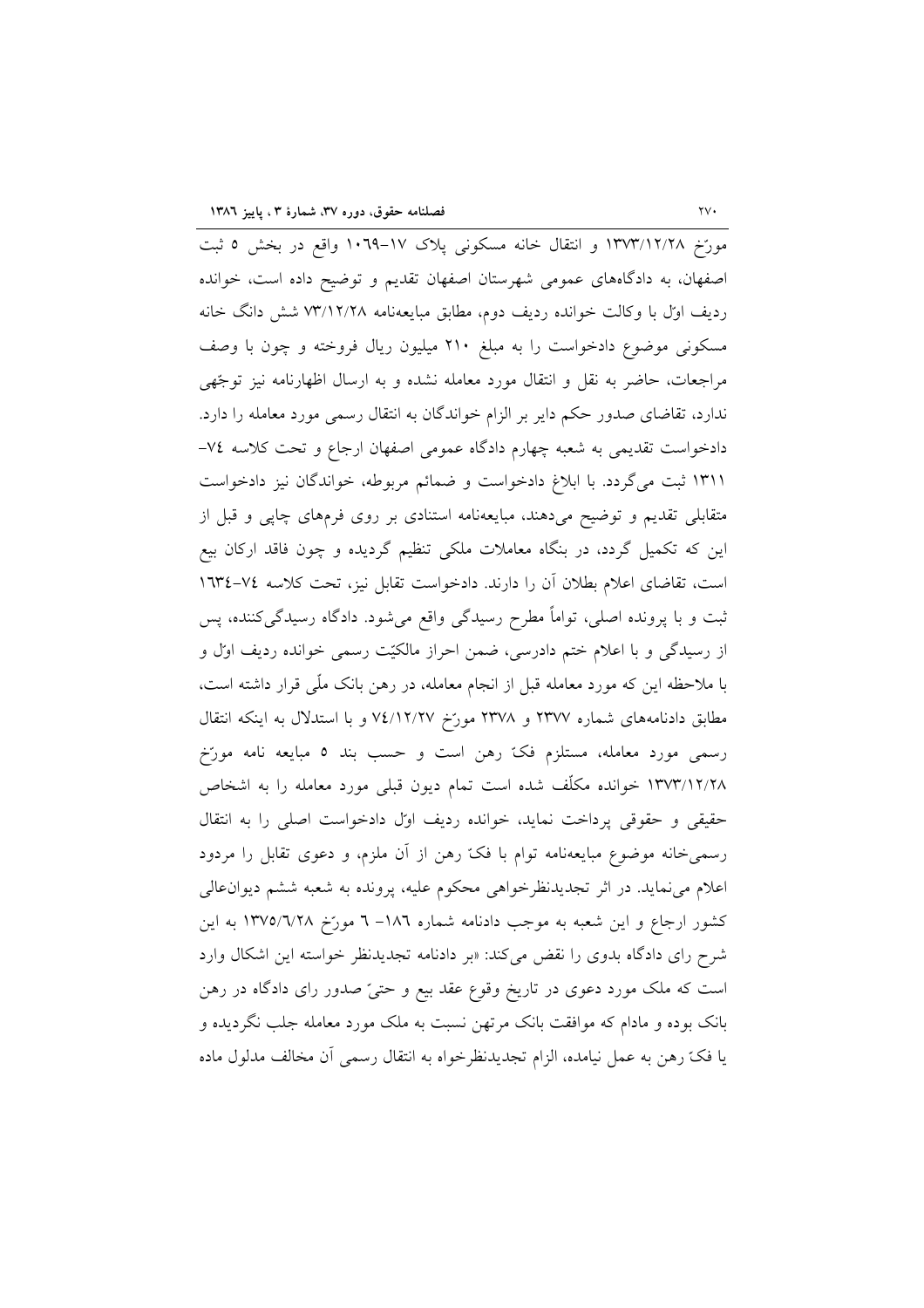مورِّخ ١٣٧٣/١٢/٢٨ و انتقال خانه مسكوني پلاک ١٧-١٠٦٩ واقع در بخش ٥ ثبت اصفهان، به دادگاههای عمومی شهرستان اصفهان تقدیم و توضیح داده است، خوانده ردیف اول با وکالت خوانده ردیف دوم، مطابق مبایعهنامه ۷۳/۱۲/۲۸ شش دانگ خانه مسکونی موضوع دادخواست را به مبلغ ۲۱۰ میلیون ریال فروخته و چون با وصف مراجعات، حاضر به نقل و انتقال مورد معامله نشده و به ارسال اظهارنامه نیز توجّهی ندارد، تقاضای صدور حکم دایر بر الزام خواندگان به انتقال رسمی مورد معامله را دارد. دادخواست تقدیمی به شعبه چهارم دادگاه عمومی اصفهان ارجاع و تحت کلاسه v٤-١٣١١ ثبت مي گردد. با ابلاغ دادخواست و ضمائم مربوطه، خواندگان نيز دادخواست متقابلی تقدیم و توضیح میدهند، مبایعهنامه استنادی بر روی فرمهای چاپی و قبل از این که تکمیل گردد، در بنگاه معاملات ملکی تنظیم گردیده و چون فاقد ارکان بیع است، تقاضای اعلام بطلان آن را دارند. دادخواست تقابل نیز، تحت کلاسه ٧٤-١٦٣٤ ثبت و با پرونده اصلی، تواماً مطرح رسیدگی واقع میشود. دادگاه رسیدگی کننده، پس از رسیدگی و با اعلام ختم دادرسی، ضمن احراز مالکیّت رسمی خوانده ردیف اول و با ملاحظه این که مورد معامله قبل از انجام معامله، در رهن بانک ملّمی قرار داشته است، مطابق دادنامههای شماره ۲۳۷۷ و ۲۳۷۸ مورّخ ۷٤/۱۲/۲۷ و با استدلال به اینکه انتقال رسمی مورد معامله، مستلزم فکّ رهن است و حسب بند ٥ مبایعه نامه مورّخ ۱۳۷۳/۱۲/۲۸ خوانده مکلّف شده است تمام دیون قبلی مورد معامله را به اشخاص حقیقی و حقوقی پرداخت نماید، خوانده ردیف اول دادخواست اصلی را به انتقال رسمیخانه موضوع مبایعهنامه توام با فکّ رهن از آن ملزم، و دعوی تقابل را مردود اعلام می(نماید. در اثر تجدیدنظرخواهی محکوم علیه، پرونده به شعبه ششم دیوانءالی کشور ارجاع و این شعبه به موجب دادنامه شماره ۱۸٦– ٦ مورّخ ١٣٧٥/٦/٢٨ به این شرح رای دادگاه بدوی را نقض میکند: «بر دادنامه تجدیدنظر خواسته این اشکال وارد است که ملک مورد دعوی در تاریخ وقوع عقد بیع و حتیّ صدور رای دادگاه در رهن بانک بوده و مادام که موافقت بانک مرتهن نسبت به ملک مورد معامله جلب نگردیده و يا فكَّ رهن به عمل نيامده، الزام تجديدنظرخواه به انتقال رسمي أن مخالف مدلول ماده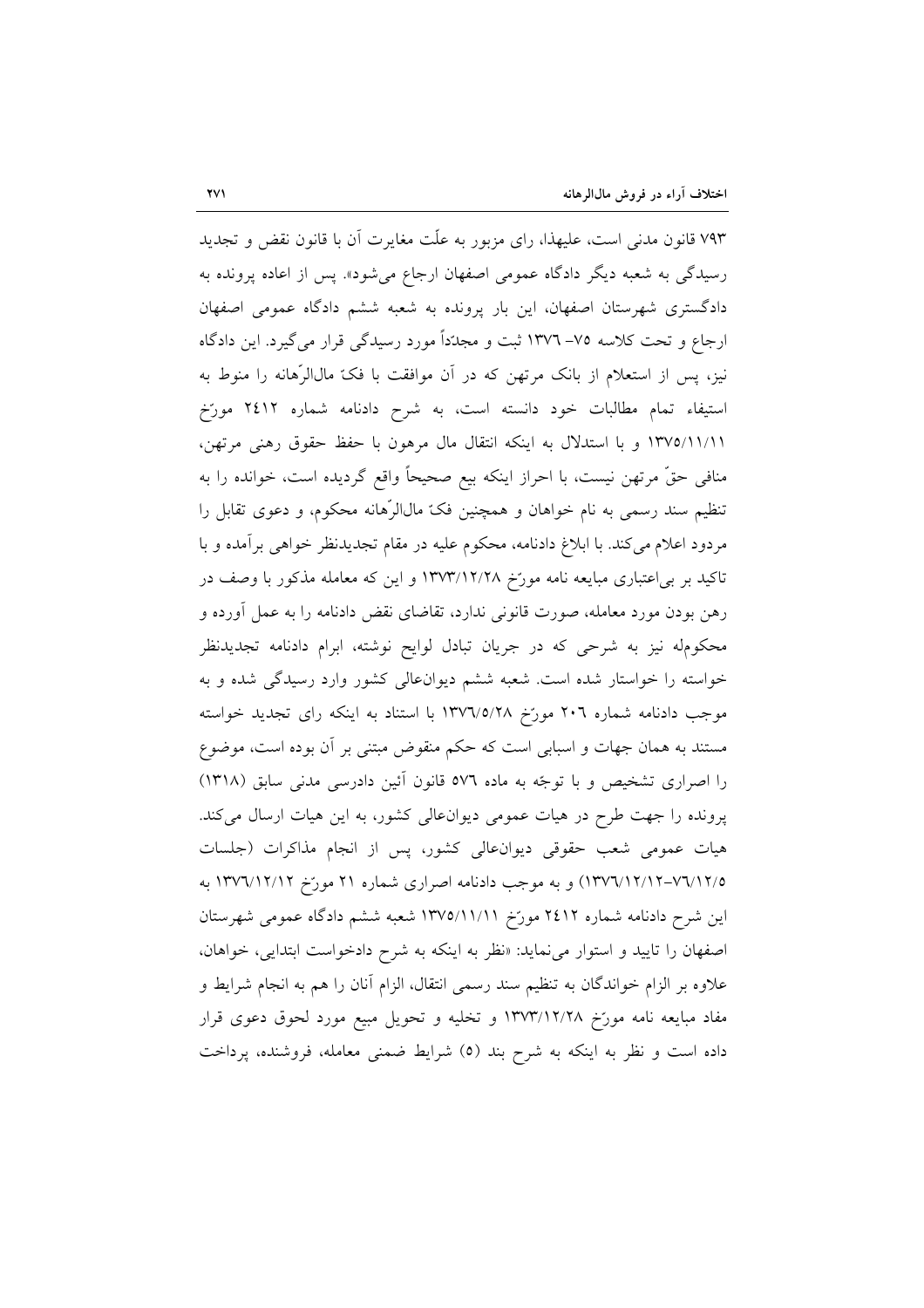۷۹۳ قانون مدنی است، علیهذا، رای مزبور به علّت مغایرت آن با قانون نقض و تجدید رسیدگی به شعبه دیگر دادگاه عمومی اصفهان ارجاع میشود». پس از اعاده پرونده به دادگستری شهرستان اصفهان، این بار پرونده به شعبه ششم دادگاه عمومی اصفهان ارجاع و تحت کلاسه ۷۵– ۱۳۷۲ ثبت و مجدّداً مورد رسیدگی قرار میگیرد. این دادگاه نیز، پس از استعلام از بانک مرتهن که در آن موافقت با فکّ مالالرّهانه را منوط به استيفاء تمام مطالبات خود دانسته است، به شرح دادنامه شماره ٢٤١٢ مورّخ ١٣٧٥/١١/١١ و با استدلال به اينكه انتقال مال مرهون با حفظ حقوق رهني مرتهن، منافی حقّ مرتهن نیست، با احراز اینکه بیع صحیحاً واقع گردیده است، خوانده را به تنظیم سند رسمی به نام خواهان و همچنین فکّ مالالرّهانه محکوم، و دعوی تقابل را مردود اعلام می کند. با ابلاغ دادنامه، محکوم علیه در مقام تجدیدنظر خواهی برآمده و با تاکید بر بی اعتباری مبایعه نامه مورّخ ۱۳۷۳/۱۲/۲۸ و این که معامله مذکور با وصف در رهن بودن مورد معامله، صورت قانونی ندارد، تقاضای نقض دادنامه را به عمل آورده و محکومله نیز به شرحی که در جریان تبادل لوایح نوشته، ابرام دادنامه تجدیدنظر خواسته را خواستار شده است. شعبه ششم دیوان عالی کشور وارد رسیدگی شده و به موجب دادنامه شماره ٢٠٦ مورّخ ١٣٧٦/٥/٢٨ با استناد به اينكه راى تجديد خواسته مستند به همان جهات و اسبابی است که حکم منقوض مبتنی بر آن بوده است، موضوع را اصراری تشخیص و با توجّه به ماده ٥٧٦ قانون آئین دادرسی مدنی سابق (١٣١٨) پرونده را جهت طرح در هیات عمومی دیوان عالی کشور، به این هیات ارسال میکند. هیات عمومی شعب حقوقی دیوان عالی کشور، پس از انجام مذاکرات (جلسات ٧٦/١٢/٥-١٣٧٦/١٢/١٣٧٦) و به موجب دادنامه اصرارى شماره ٢١ مورّخ ١٣٧٦/١٢/١٢ به این شرح دادنامه شماره ۲٤۱۲ مورّخ ۱۳۷۵/۱۱/۱۱ شعبه ششم دادگاه عمومی شهرستان اصفهان را تایید و استوار می نماید: «نظر به اینکه به شرح دادخواست ابتدایی، خواهان، علاوه بر الزام خواندگان به تنظیم سند رسمی انتقال، الزام آنان را هم به انجام شرایط و مفاد مبايعه نامه مورّخ ١٣٧٣/١٢/٢٨ و تخليه و تحويل مبيع مورد لحوق دعوى قرار داده است و نظر به اینکه به شرح بند (٥) شرایط ضمنی معامله، فروشنده، پرداخت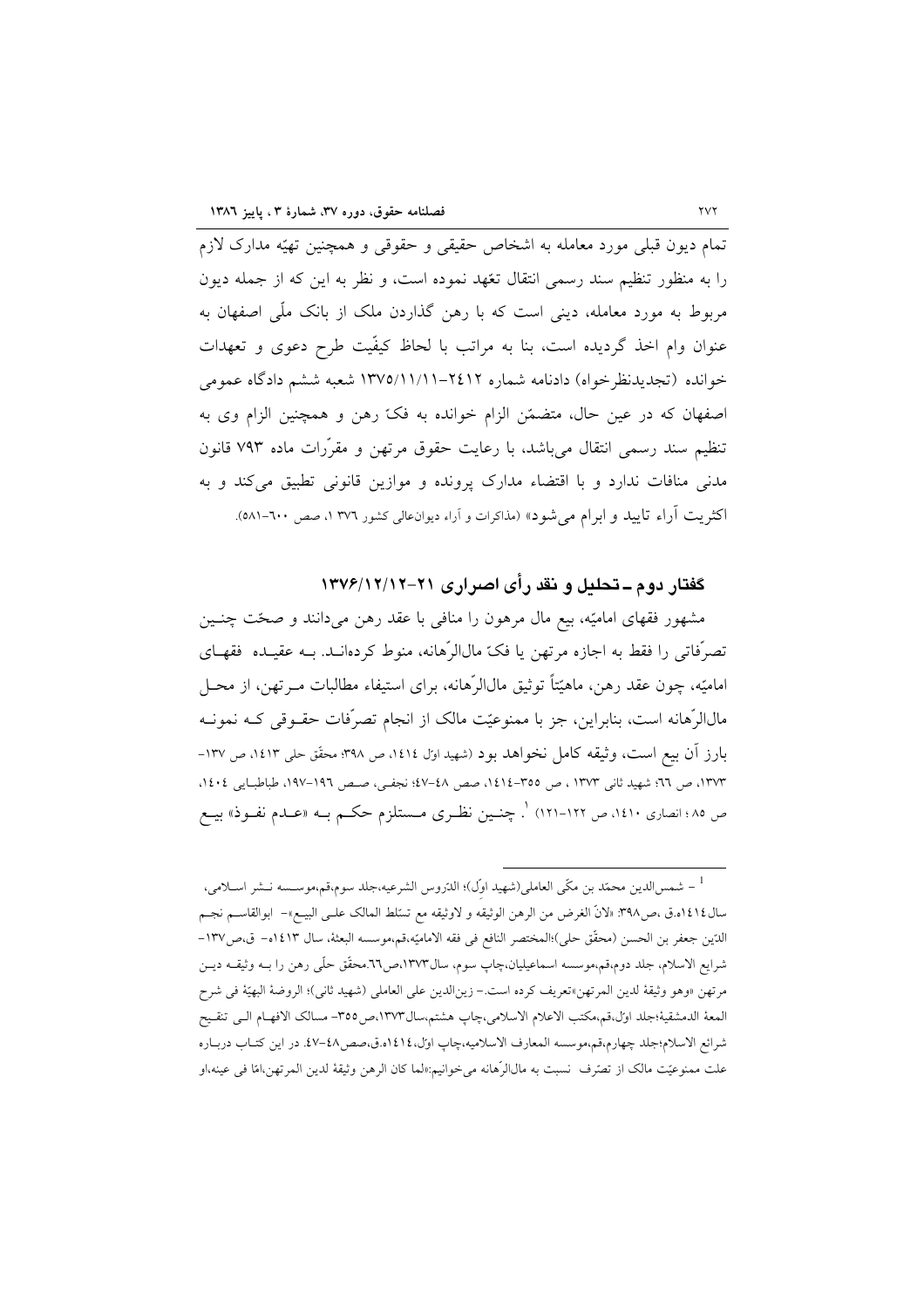۔<br>تمام دیون قبلی مورد معامله به اشخاص حقیقی و حقوقی و همچنین تهیّه مدارک لازم را به منظور تنظیم سند رسمی انتقال تعّهد نموده است، و نظر به این که از جمله دیون مربوط به مورد معامله، دینی است که با رهن گذاردن ملک از بانک ملّی اصفهان به عنوان وام اخذ گردیده است، بنا به مراتب با لحاظ کیفّیت طرح دعوی و تعهدات خوانده (تجدیدنظرخواه) دادنامه شماره ۲٤۱۲–۱۳۷۵/۱۱/۱۱ شعبه ششم دادگاه عمومی اصفهان كه در عين حال، متضمّن الزام خوانده به فكّ رهن و همچنين الزام وى به تنظیم سند رسمی انتقال میباشد، با رعایت حقوق مرتهن و مقرّرات ماده ۷۹۳ قانون مدنی منافات ندارد و با اقتضاء مدارک پرونده و موازین قانونی تطبیق میکند و به اکثریت آراء تایید و ابرام می شود» (مذاکرات و آراء دیوانءالی کشور ۳۷٦ ۱، صص ۲۰۰-۵۸۱).

## گفتار دوم ــ تحليل و نقد رأى اصرارى ٢١-١٣٧٤/١٢/١٢

مشهور فقهای امامیّه، بیع مال مرهون را منافی با عقد رهن میدانند و صحّت چنـین تصرَّفاتی را فقط به اجازه مرتهن یا فکّ مالالرِّهانه، منوط کردهانــد. بــه عقیــده فقهـای اماميّه، چون عقد رهن، ماهيّتاً توثيق مالالرّهانه، براي استيفاء مطالبات مــرتهن، از محــل مالالرّهانه است، بنابراین، جز با ممنوعیّت مالک از انجام تصرّفات حقـوقی کـه نمونـه بارز آن بیع است، وثیقه کامل نخواهد بود (شهید اول ۱٤۱٤، ص ۳۹۸؛ محقّق حلی ۱٤۱۳، ص ۱۳۷-١٣٧٣، ص ٦٦؛ شهيد ثاني ١٣٧٣ ، ص ٣٥٥-١٤١٤، صص ٤٨-٤٧؛ نجفي، صص ١٩٦-١٩٧، طباطبـايي ١٤٠٤، ص ٨٥؛ انصاری ١٤١٠، ص ١٢٢-١٢١) <sup>١</sup>. چنــين نظـری مــستلزم حکــم بــه «عــدم نفــوذ» بيــع

<sup>&</sup>lt;sup>1</sup> – شمس|لدين محمّد بن مكّى العاملي(شهيد اوّل)؛ الدّروس الشرعيه،جلد سوم،قم،موســـــه نــشر اســلامي، سال١٤١٤.ق ،ص٣٩٨. «لانَّ الغرض من الرهن الوثيقه و لاوثيقه مع تسلط المالك علـي البيــع»– ابوالقاســم نجــم الدِّين جعفر بن الحسن (محقَّق حلي)؛المختصر النافع في فقه الاماميّه،قم،موسسه البعثة، سال ١٤١٣ه- ق،ص١٣٧-شرايع الاسلام، جلد دوم،قم،موسسه اسماعيليان،چاپ سوم، سال١٣٧٣،ص٦٦.محقَّق حلَّمي رهن را بــه وثيقــه ديــن مرتهن «وهو وثيقة لدين المرتهن»تعريف كرده است.– زين|لدين على العاملي (شهيد ثاني)؛ الروضة البهيّة في شرح المعة الدمشقية؛جلد اول،قم،مكتب الاعلام الاسلامي،چاپ هشتم،سال١٣٧٣،ص١٣٥٥- مسالك الافهـام الـي تنقـيح شرائع الاسلام؛جلد چهارم،قم،موسسه المعارف الاسلاميه،چاپ اول،١٤١٤ه.ق،صص4-٤٧. در اين كتـاب دربـاره علت ممنوعيّت مالک از تصرّف نسبت به مال|لرّهانه ميخوانيم:«لما کان الرهن وثيقهٔ لدين المرتهن،امّا في عينه،او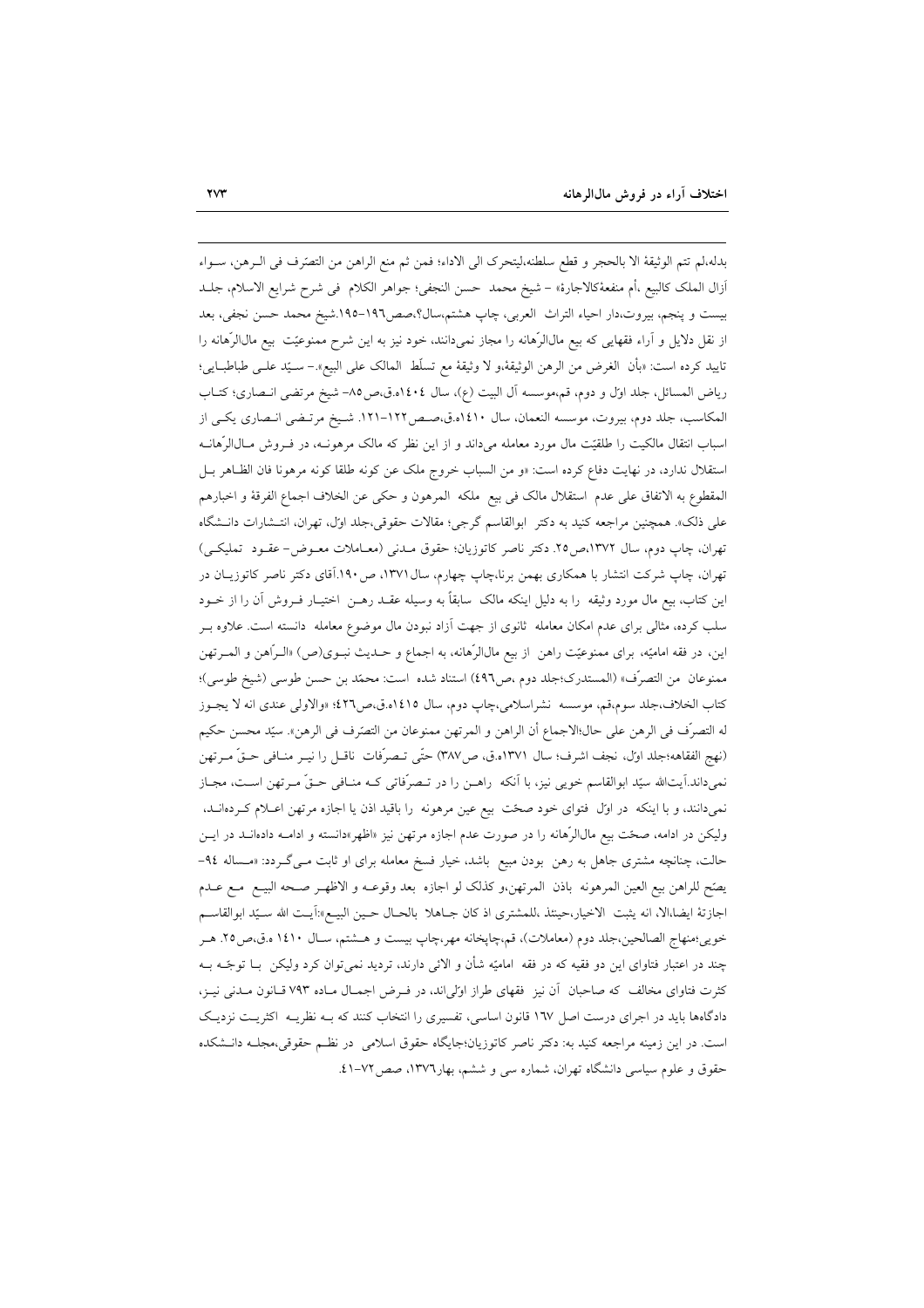بدله،لم تتم الوثيقة الا بالحجر و قطع سلطنه،ليتحرك الى الاداء؛ فمن ثم منع الراهن من التصّرف في الــرهن، ســواء أزال الملك كالبيع ،أم منفعهٔكالاجارهٔ» – شيخ محمد حسن النجفى؛ جواهر الكلام فى شرح شرايع الاسلام، جلــد بيست و پنجم، بيروت،دار احياء التراث العربي، چاپ هشتم،سال؟،صص191-١٩٥.شيخ محمد حسن نجفي، بعد از نقل دلایل و آراء فقهایی که بیع مال $\mathfrak{l}$ هانه را مجاز نمیدانند، خود نیز به این شرح ممنوعیّت بیع مال $\mathfrak{l}$ هانه را تاييد كرده است: «بأن الغرض من الرهن الوثيقة،و لا وثيقة مع تسلُّط المالك على البيع».– سـيّد علــي طباطبــايي؛ رياض المسائل، جلد اول و دوم، قم،موسسه أل البيت (ع)، سال ١٤٠٤ه.ق،ص٥٨- شيخ مرتضى انـصارى؛ كتــاب المكاسب، جلد دوم، بيروت، موسسه النعمان، سال ١٤١٠ه.ق،صـص١٢٢-١٢١. شـيخ مرتـضي انـصاري يكـي از اسباب انتقال مالکیت را طلقیّت مال مورد معامله میداند و از این نظر که مالک مرهونــه، در فــروش مــال|لرّهانــه استقلال ندارد، در نهایت دفاع کرده است: «و من السباب خروج ملک عن کونه طلقا کونه مرهونا فان الظـاهر بـل المقطوع به الاتفاق على عدم استقلال مالك في بيع ملكه المرهون و حكي عن الخلاف اجماع الفرقة و اخبارهم علی ذلک». همچنین مراجعه کنید به دکتر ابوالقاسم گرجی؛ مقالات حقوقی،جلد اول، تهران، انتـشارات دانـشگاه تهران، چاپ دوم، سال ۱۳۷۲،ص۲۵. دکتر ناصر کاتوزیان؛ حقوق مـدنی (معـاملات معـوض- عقـود تملیکـی) تهران، چاپ شرکت انتشار با همکاری بهمن برنا،چاپ چهارم، سال ۱۳۷۱، ص۱۹۰.اَقای دکتر ناصر کاتوزیـان در این کتاب، بیع مال مورد وثیقه را به دلیل اینکه مالک سابقاً به وسیله عقـد رهـن اختیـار فـروش آن را از خــود سلب کرده، مثالی برای عدم امکان معامله ثانوی از جهت آزاد نبودن مال موضوع معامله دانسته است. علاوه بــر اين، در فقه اماميّه، براي ممنوعيّت راهن از بيع مال|الرّهانه، به اجماع و حــديث نبــوى(ص) «الــرّاهن و المــرتهن ممنوعان من التصرّف» (المستدرك؛جلد دوم ،ص٤٩٦) استناد شده است: محمّد بن حسن طوسى (شيخ طوسى)؛ كتاب الخلاف،جلد سوم،قم، موسسه نشراسلامي،چاپ دوم، سال ١٤١٥ه.ق،ص٢٢٦؛ «والاولى عندى انه لا يجـوز له التصرُّف في الرهن على حال؛الاجماع أن الراهن و المرتهن ممنوعان من التصَّرف في الرهن». سيّد محسن حكيم (نهج الفقاهه؛جلد اول، نجف اشرف؛ سال ١٣٧١ه.ق، ص٣٨٧) حتَّى تـصرفات ناقـل را نيـر منـافي حـقَّ مـرتهن نمیداند.آیتالله سیّد ابوالقاسم خویی نیز، با آنکه راهـن را در تـصرّفاتی کـه منـافی حـقّ مـرتهن اسـت، مجـاز نمیدانند، و با اینکه در اول فتوای خود صحّت بیع عین مرهونه را باقید اذن یا اجازه مرتهن اعـلام کـردهانــد. ولیکن در ادامه، صحّت بیع مال|لرّهانه را در صورت عدم اجازه مرتهن نیز «اظهر»دانسته و ادامـه دادهانــد در ایــن حالت، چنانچه مشتری جاهل به رهن بودن مبیع باشد، خیار فسخ معامله برای او ثابت مـی گـردد: «مـساله ۹٤-يصِّح للراهن بيع العين المرهونه باذن المرتهن,و كذلك لو اجازه بعد وقوعـه و الاظهـر صـحه البيـع مـع عـدم اجازتهٔ ایضا،الا، انه یثبت الاخیار،حینئذ ،للمشتری اذ کان جـاهلا بالحـال حـین البیــع»:آیـت الله سـیّد ابوالقاســم خويي؛منهاج الصالحين،جلد دوم (معاملات)، قم،چاپخانه مهر،چاپ بيست و هــشتم، سـال ١٤١٠ ه.ق،ص٢٥. هـر چند در اعتبار فتاوای این دو فقیه که در فقه امامیّه شأن و الائی دارند، تردید نمیٍتوان کرد ولیکن بــا توجّــه بــه کثرت فتاوای مخالف که صاحبان آن نیز فقهای طراز اولیاند، در فـرض اجمـال مـاده ۷۹۳ قـانون مـدنی نیـز، دادگاهها باید در اجرای درست اصل ۱۳۷ قانون اساسی، تفسیری را انتخاب کنند که بـه نظریـه اکثریـت نزدیـک است. در این زمینه مراجعه کنید به: دکتر ناصر کاتوزیان؛جایگاه حقوق اسلامی در نظم حقوقی،مجلـه دانـشکده حقوق و علوم سیاسی دانشگاه تهران، شماره سی و ششم، بهار١٣٧٦، صص ٧٢-٤١.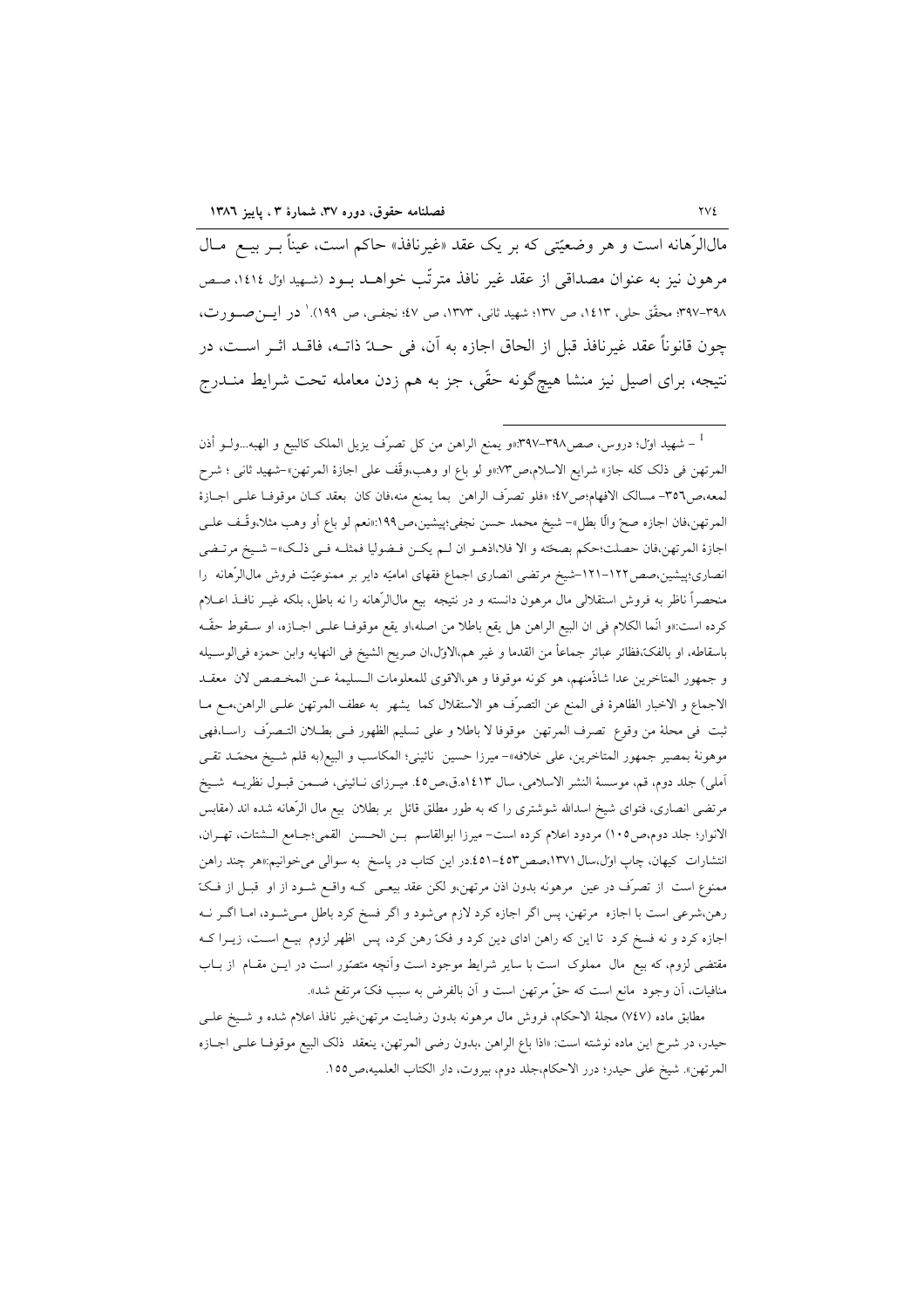مالالرِّهانه است و هر وضعیّتی که بر یک عقد «غیرنافذ» حاکم است، عیناً بـر بیــع مــال مرهون نيز به عنوان مصداقي از عقد غير نافذ مترتّب خواهــد بــود (شـهيداول ١٤١٤، صـص ٣٩٧-٣٩٧؛ محقِّق حلي، ١٤١٣، ص ١٣٧: شهيد ثاني، ١٣٧٣، ص ٤٧؛ نجفي، ص ١٩٩).' در ايسن صدو رت، چون قانوناً عقد غيرنافذ قبل از الحاق اجازه به آن، في حــدّ ذاتــه، فاقــد اثــر اســت، در نتیجه، برای اصیل نیز منشا هیچگونه حقّی، جز به هم زدن معامله تحت شرایط منــدرج

مطابق ماده (٧٤٧) مجلة الاحكام، فروش مال مرهونه بدون رضايت مرتهن،غير نافذ اعلام شده و شـيخ علـي حیدر، در شرح این ماده نوشته است: «اذا باع الراهن ،بدون رضی المرتهن، ینعقد ذلک البیع موقوفـا علــی اجــازه المرتهن». شيخ على حيدر؛ درر الاحكام،جلد دوم، بيروت، دار الكتاب العلميه،ص200.

<sup>&</sup>lt;sup>1</sup> – شهيد اول؛ دروس، صص۳۹۸–۳۹۷:«و يمنع الراهن من كل تصرّف يزيل الملک كالبيع و الهبه…ولــو أذن المرتهن في ذلك كله جاز» شرايع الاسلام،ص٣٧:«و لو باع او وهب،وقَّف على اجازهٔ المرتهن»–شهيد ثاني ؛ شرح لمعه،ص٣٥٦- مسالك الافهام؛ص٤٧؛ «فلو تصرَّف الراهن بما يمنع منه،فان كان بعقد كـان موقوفـا علـى اجــازة المرتهن،فان اجازه صحّ والًا بطل»– شيخ محمد حسن نجفي؛پيشين،ص١٩٩:«نعم لو باع أو وهب مثلا،وقَّـف علــي اجازة المرتهن،فان حصلت؛حكم بصحّته و الا فلا،اذهـو ان لـم يكـن فـضوليا فمثلـه فـي ذلـك»– شـيخ مرتـضي انصاری؛پیشین،صص(١٢٢–١٢١-شیخ مرتضی انصاری اجماع فقهای امامیّه دایر بر ممنوعیّت فروش مالالرّهانه را منحصراً ناظر به فروش استقلالي مال مرهون دانسته و در نتيجه بيع مال|لرَّهانه را نه باطل، بلكه غيــر نافــذ اعــلام كرده است:«و انَّما الكلام في ان البيع الراهن هل يقع باطلا من اصله،او يقع موقوفـا علــي اجــازه، او ســقوط حقَّـه باسقاطه، او بالفك،فظائر عبائر جماعاً من القدما و غير هم،الاول،ان صريح الشيخ في النهايه وابن حمزه في|لوسـيله و جمهور المتاخرين عدا شاذَّمنهم، هو كونه موقوفا و هو،الاقوى للمعلومات الـسليمة عـن المخـصص لان معقـد الاجماع و الاخبار الظاهرة في المنع عن التصرُّف هو الاستقلال كما يشهر به عطف المرتهن علـى الراهن،مـع مـا ثبت في محلهٔ من وقوع تصرف المرتهن موقوفا لا باطلا و على تسليم الظهور فـي بطــلان التــصرَف راســا.فهي موهونة بمصير جمهور المتاخرين، على خلافه»- ميرزا حسين نائيني؛ المكاسب و البيع(به قلم شـيخ محمّـد تقـي أملي) جلد دوم، قم، موسسهٔ النشر الاسلامي، سال ١٤١٣ه.ق،ص٥. ميــرزاي نــائيني، ضــمن قبــول نظريــه شــيخ مرتضی انصاری، فتوای شیخ اسدالله شوشتری را که به طور مطلق قائل بر بطلان بیع مال الرِّهانه شده اند (مقابس الانوار؛ جلد دوم،ص١٠٥) مردود اعلام كرده است- ميرزا ابوالقاسم بـن الحسن القمي؛جـامع الـشتات، تهـران، انتشارات کیهان، چاپ اول،سال ۱۳۷۱،صص(٤٥٣-٤٥١.در این کتاب در پاسخ به سوال<sub>ی</sub> می خوانیم:«هر چند راهن ممنوع است از تصرّف در عین مرهونه بدون اذن مرتهن،و لکن عقد بیعـی کـه واقـع شـود از او قبـل از فـکّ رهن،شرعی است با اجازه مرتهن، پس اگر اجازه کرد لازم میشود و اگر فسخ کرد باطل مـیشـود، امـا اگـر نــه اجازه کرد و نه فسخ کرد تا این که راهن ادای دین کرد و فکّ رهن کرد، پس اظهر لزوم بیـع اسـت، زیــرا کــه مقتضی لزوم، که بیع مال مملوک است با سایر شرایط موجود است وآنچه متصّور است در ایــن مقــام از بــاب منافيات، أن وجود ًمانع است كه حقٌّ مرتهن است و أن بالفرض به سبب فكٌّ مرتفع شد».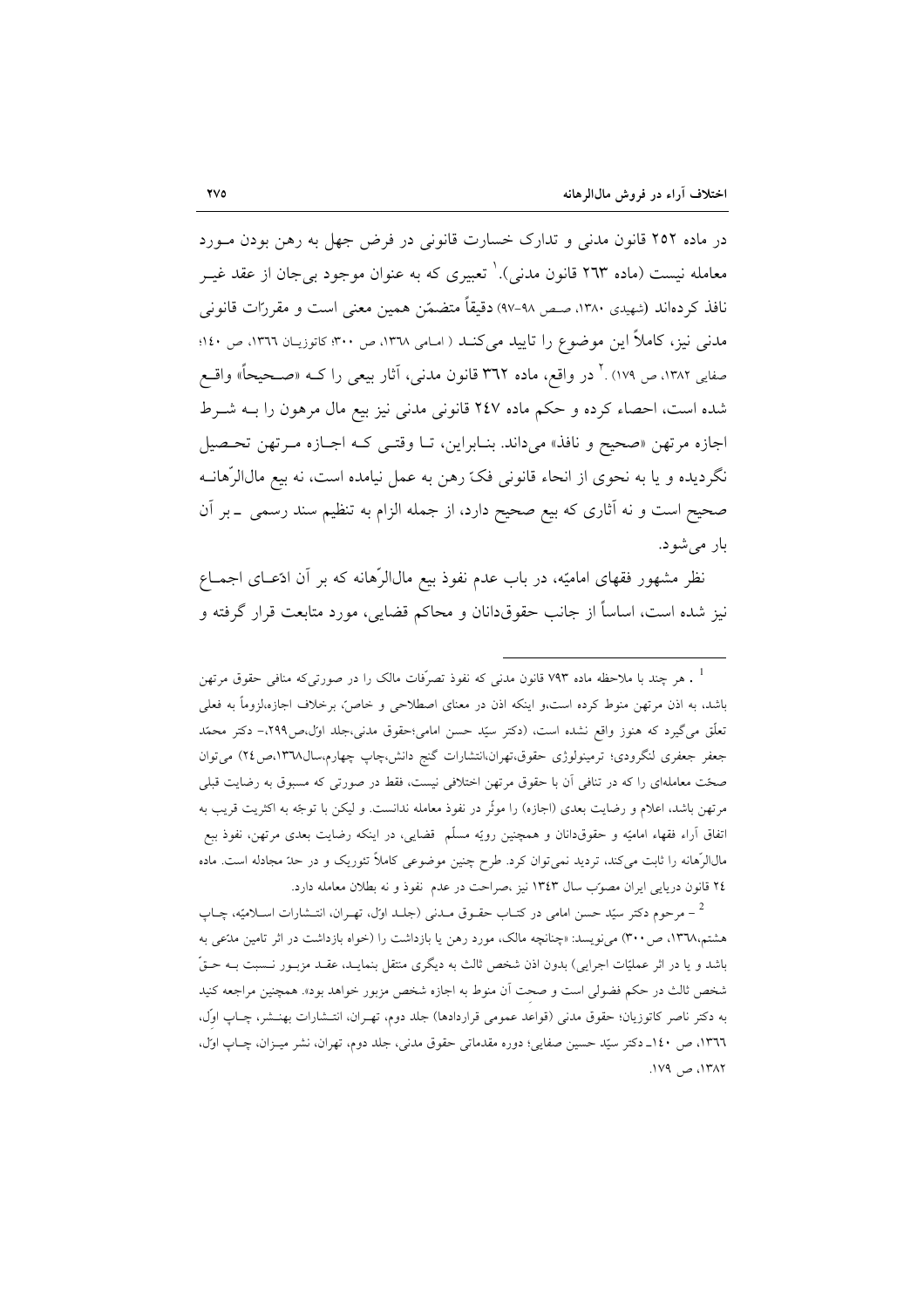در ماده ۲۵۲ قانون مدنی و تدارک خسارت قانونی در فرض جهل به رهن بودن مـورد معامله نیست (ماده ۲٦۳ قانون مدنی).' تعبیری که به عنوان موجود بی جان از عقد غیــر نافذ کردهاند (شهیدی ۱۳۸۰، صص ۹۸-۹۷) دقیقاً متضمّن همین معنی است و مقررات قانونی مدنی نیز، کاملاً این موضوع را تایید می کنــد ( اسامی ١٣٦٨، ص ٣٠٠؛ کاتوزیــان ١٣٦٦، ص ١٤٠؛ صفایی ۱۳۸۲، ص ۱۷۹) .<sup>۲</sup> در واقع، ماده ۳**٦۲** قانون مدنی، آثار بیعی را کــه «صــحیحاً» واقــع شده است، احصاء کرده و حکم ماده ۲٤۷ قانونی مدنی نیز بیع مال مرهون را بــه شــرط اجازه مرتهن «صحيح و نافذ» ميداند. بنـابراين، تـا وقتـي كـه اجـازه مـرتهن تحـصيل نگردیده و یا به نحوی از انحاء قانونی فکّ رهن به عمل نیامده است، نه بیع مالاالرِّهانــه صحیح است و نه آثاری که بیع صحیح دارد، از جمله الزام به تنظیم سند رسمی \_بر آن بار میشود.

نظر مشهور فقهای امامیّه، در باب عدم نفوذ بیع مال|لرّهانه که بر آن ادّعـای اجمــاع نیز شده است، اساساً از جانب حقوقدانان و محاکم قضایی، مورد متابعت قرار گرفته و

مر چند با ملاحظه ماده ۷۹۳ قانون مدن<sub>ی</sub> که نفوذ تصرّفات مالک را در صورتیکه منافی حقوق مرتهن  $^{-1}$ باشد، به اذن مرتهن منوط کرده است،و اینکه اذن در معنای اصطلاحی و خاصٌ، برخلاف اجازه،لزوماً به فعلی تعلُّق میگیرد که هنوز واقع نشده است، (دکتر سیّد حسن امامی؛حقوق مدنی،جلد اول،ص۲۹۹- دکتر محمّد جعفر جعفری لنگرودی؛ ترمینولوژی حقوق،تهران،انتشارات گنج دانش،چاپ چهارم،سال۱۳۷۸،ص۲۶) میتوان صحّت معاملهای را که در تنافی آن با حقوق مرتهن اختلافی نیست، فقط در صورتی که مسبوق به رضایت قبلی مرتهن باشد، اعلام و رضایت بعدی (اجازه) را موثّر در نفوذ معامله ندانست. و لیکن با توجّه به اکثریت قریب به اتفاق آراء فقهاء امامیّه و حقوقدانان و همچنین رویّه مسلّم قضایی، در اینکه رضایت بعدی مرتهن، نفوذ ببع مالاالرِّهانه را ثابت میکند، تردید نمی توان کرد. طرح چنین موضوعی کاملاً تئوریک و در حدّ مجادله است. ماده ٢٤ قانون دريايي ايران مصوّب سال ١٣٤٣ نيز ،صراحت در عدم نفوذ و نه بطلان معامله دارد.

<sup>&</sup>lt;sup>2</sup> – مرحوم دکتر سیّد حسن امامی در کتــاب حقــوق مــدنی (جلــد اول، تهــران، انتــشارات اســلامیّه، چــاب هشتم،۱۳٦۸، ص۳۰۰) می نویسد: «چنانچه مالک، مورد رهن یا بازداشت را (خواه بازداشت در اثر تامین مدّعی به باشد و يا در اثر عمليّات اجرايي) بدون اذن شخص ثالث به ديگري منتقل بنمايــد، عقــد مزبــور نــسبت بــه حــقّ شخص ثالث در حکم فضولی است و صحت آن منوط به اجازه شخص مزبور خواهد بود». همچنین مراجعه کنید به دکتر ناصر کاتوزیان؛ حقوق مدنی (قواعد عمومی قراردادها) جلد دوم، تهـران، انتـشارات بهنـشر، چـاپ اوَل، ١٣٦٦، ص ١٤٠\_ دكتر سيّد حسين صفايي؛ دوره مقدماتي حقوق مدني، جلد دوم، تهران، نشر ميـزان، چـاپ اول، ١٣٨٢، ص ١٧٩.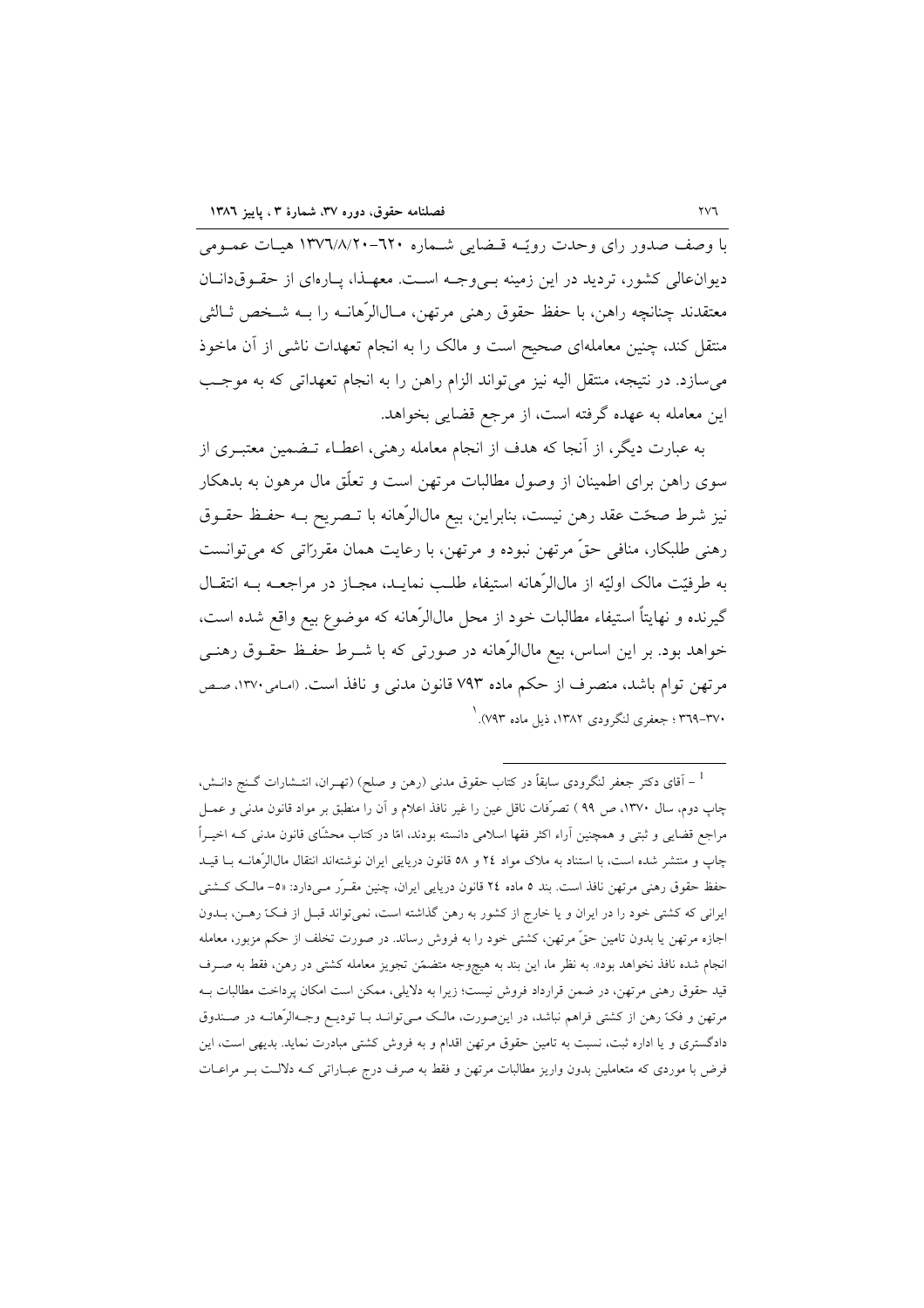با وصف صدور رای وحدت رویّـه قـضایی شـماره ٦٢٠-١٣٧٦/٨/٢٠ هیـات عمـومی دیوانعالی کشور، تردید در این زمینه به وجـه اسـت. معهـذا، پـارهای از حقـوقدانـان معتقدند چنانچه راهن، با حفظ حقوق رهنی مرتهن، مـال|لرَّهانــه را بــه شــخص ثــالثي منتقل کند، چنین معاملهای صحیح است و مالک را به انجام تعهدات ناشی از آن ماخوذ می سازد. در نتیجه، منتقل الیه نیز می تواند الزام راهن را به انجام تعهداتی که به موجب این معامله به عهده گرفته است، از مرجع قضایی بخواهد.

به عبارت دیگر، از آنجا که هدف از انجام معامله رهنی، اعطـاء تــضمین معتبــری از سوی راهن برای اطمینان از وصول مطالبات مرتهن است و تعلّق مال مرهون به بدهکار نيز شرط صحّت عقد رهن نيست، بنابراين، بيع مالالرِّهانه با تـصريح بــه حفــظ حقــوق رهنی طلبکار، منافی حقّ مرتهن نبوده و مرتهن، با رعایت همان مقرراتی که میتوانست به طرفيّت مالک اوليّه از مال|لرّهانه استيفاء طلـب نمايـد، مجـاز در مراجعــه بــه انتقــال گیرنده و نهایتاً استیفاء مطالبات خود از محل مالالرّهانه که موضوع بیع واقع شده است. خواهد بود. بر این اساس، بیع مالاالرّهانه در صورتی که با شــرط حفـظ حقــوق رهنــی مرتهن توام باشد، منصرف از حکم ماده ۷۹۳ قانون مدنی و نافذ است. (امامی ۱۳۷۰، صص ۳۷۰–۳۶۹ ؛ جعفری لنگرودی ۱۳۸۲، ذیل ماده ۷۹۳).  $\dot{ }$ 

<sup>&</sup>lt;sup>1</sup> – آقای دکتر جعفر لنگرودی سابقاً در کتاب حقوق مدنی (رهن و صلح) (تهـران، انتــشارات گــنج دانــش، چاپ دوم، سال ۱۳۷۰، ص ۹۹ ) تصرّفات ناقل عین را غیر نافذ اعلام و آن را منطبق بر مواد قانون مدنی و عمــل مراجع قضایی و ثبتی و همچنین اَراء اکثر فقها اسلامی دانسته بودند، امّا در کتاب محشّای قانون مدنی کـه اخیــراً چاپ و منتشر شده است، با استناد به ملاک مواد ٢٤ و ٥٨ قانون دريايي ايران نوشتهاند انتقال مالJالرّهانــه بــا قيــد حفظ حقوق رهنی مرتهن نافذ است. بند ٥ ماده ٢٤ قانون دریایی ایران، چنین مقــرّر مــیدارد: «٥– مالـک کــشتی ایرانی که کشتی خود را در ایران و یا خارج از کشور به رهن گذاشته است، نمی تواند قبـل از فـکّ رهـن، بــدون اجازه مرتهن یا بدون تامین حقٌّ مرتهن، کشتی خود را به فروش رساند. در صورت تخلف از حکم مزبور، معامله انجام شده نافذ نخواهد بود». به نظر ما، این بند به هیچوجه متضمّن تجویز معامله کشتی در رهن، فقط به صـرف قید حقوق رهنی مرتهن، در ضمن قرارداد فروش نیست؛ زیرا به دلایلی، ممکن است امکان پرداخت مطالبات بــه مرتهن و فکّ رهن از کشتی فراهم نباشد، در این صورت، مالک مـیتوانـد بـا تودیـع وجـهالرّهانـه در صـندوق دادگستری و یا اداره ثبت، نسبت به تامین حقوق مرتهن اقدام و به فروش کشتی مبادرت نماید. بدیهی است، این فرض با موردی که متعاملین بدون واریز مطالبات مرتهن و فقط به صرف درج عبـاراتی کـه دلالـت بـر مراعـات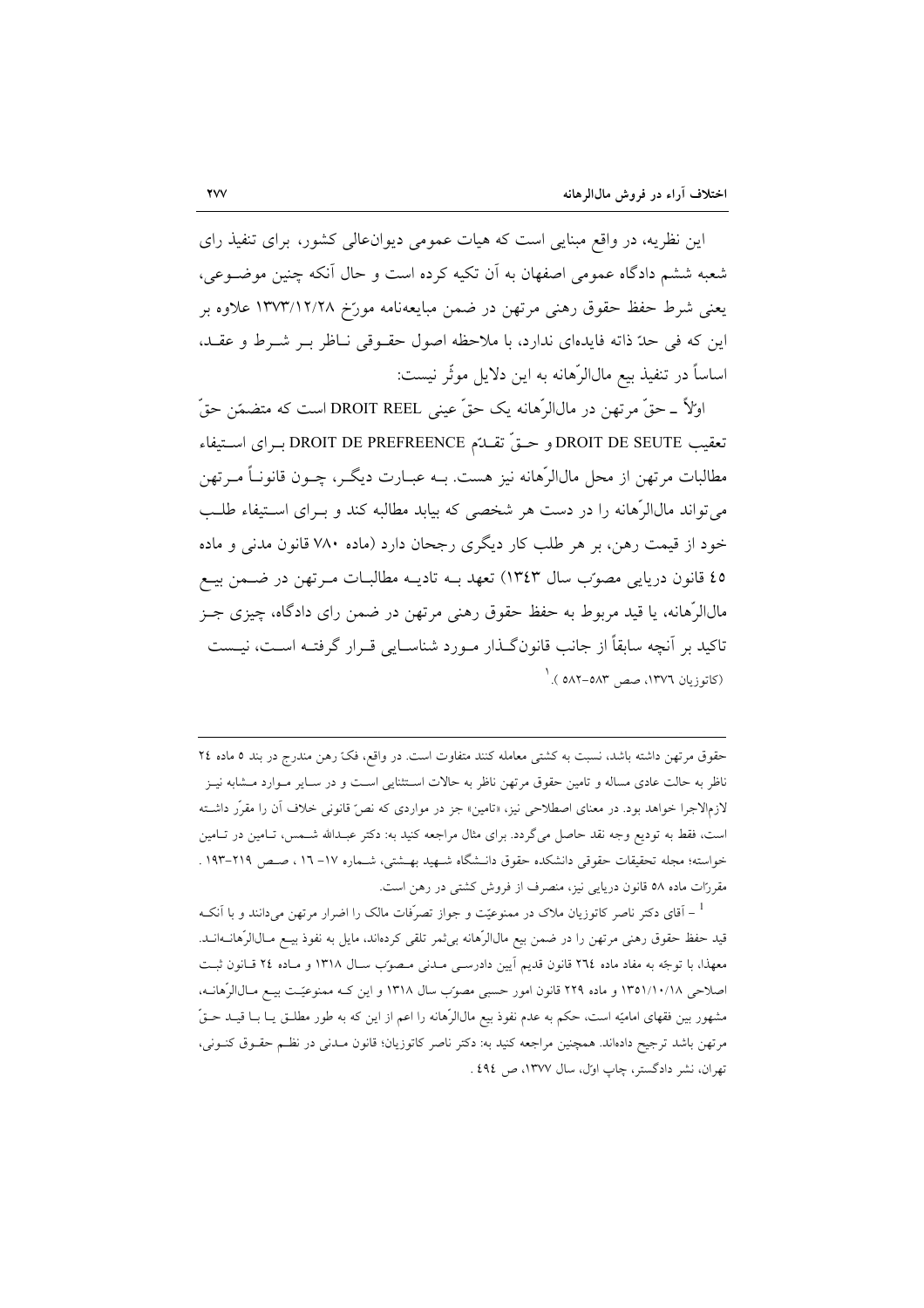این نظریه، در واقع مبنایی است که هیات عمومی دیوانءالی کشور، برای تنفیذ رای شعبه ششم دادگاه عمومی اصفهان به آن تکیه کرده است و حال آنکه چنین موضوعی، يعني شرط حفظ حقوق رهني مرتهن در ضمن مبايعهنامه مورّخ ١٣٧٣/١٢/٢٨ علاوه بر این که فی حدّ ذاته فایدهای ندارد، با ملاحظه اصول حقـوقی نـاظر بـر شـرط و عقـد، اساساً در تنفيذ بيع مال|لرَّهانه به اين دلايل موثَّر نيست:

اولاً \_حقٌّ مرتَّهن در مالالرِّهانه يک حقٌّ عيني DROIT REEL است که متضمّن حقٌّ تعقيب DROIT DE SEUTE و حــقٍّ تقــدّم DROIT DE PREFREENCE بــراي اســتيفاء مطالبات مرتهن از محل مال|لرِّهانه نيز هست. بــه عبــارت ديگــر، چــون قانونــاً مــرتهن می تواند مالاارْهانه را در دست هر شخصی که بیابد مطالبه کند و بـرای اسـتیفاء طلـب خود از قیمت رهن، بر هر طلب کار دیگری رجحان دارد (ماده ۷۸۰ قانون مدنی و ماده ٤٥ قانون دريايي مصوّب سال ١٣٤٣) تعهد بـه تاديـه مطالبـات مـرتهن در ضـمن بيـع مالالرّهانه، یا قید مربوط به حفظ حقوق رهنی مرتهن در ضمن رای دادگاه، چیزی جـز تاکید بر آنچه سابقاً از جانب قانونگذار مـورد شناسـایی قـرار گرفتـه اسـت، نیـست (کاتوزیان ١٣٧٦، صص ٥٨٣-٥٨٢ ).

حقوق مرتهن داشته باشد، نسبت به کشتی معامله کنند متفاوت است. در واقع، فک رهن مندرج در بند ٥ ماده ٢٤ ناظر به حالت عادی مساله و تامین حقوق مرتهن ناظر به حالات اسـتثنایی اسـت و در سـایر مـوارد مـشابه نیـز لازم|لاجرا خواهد بود. در معنای اصطلاحی نیز، «تامین» جز در مواردی که نص<sup>س</sup> قانونی خلاف آن را مقرّر داشـته است، فقط به تودیع وجه نقد حاصل میگردد. برای مثال مراجعه کنید به: دکتر عبـدالله شـمس، تـامین در تـامین خواسته؛ مجله تحقيقات حقوقي دانشكده حقوق دانــشگاه شــهيد بهــشتي، شــماره ١٧– ١٦، صـص ٢١٩–١٩٣ . مقررّات ماده ٥٨ قانون دریایی نیز، منصرف از فروش کشتی در رهن است.

<sup>1</sup> – آقای دکتر ناصر کاتوزیان ملاک در ممنوعیّت و جواز تصرّفات مالک را اضرار مرتهن میدانند و با اَنکـه قيد حفظ حقوق رهني مرتهن را در ضمن بيع مال|لرَّهانه بي ثمر تلقي كرده|ند، مايل به نفوذ بيــع مــال|لرّهانــه|نــد. معهذا، با توجّه به مفاد ماده ٢٦٤ قانون قديم أيين دادرسي مـدني مـصوّب سـال ١٣١٨ و مـاده ٢٤ قـانون ثبـت اصلاحی ۱۳۵۱/۱۰/۱۸ و ماده ۲۲۹ قانون امور حسبی مصوّب سال ۱۳۱۸ و این کـه ممنوعیّـت بیـع مـالالرّهانــه، مشهور بين فقهاي اماميّه است، حكم به عدم نفوذ بيع مال|لرّهانه را اعم از اين كه به طور مطلـق يــا بــا قيــد حــقّ مرتهن باشد ترجیح دادهاند. همچنین مراجعه کنید به: دکتر ناصر کاتوزیان؛ قانون مـدنی در نظـم حقـوق کنــونی، تهران، نشر دادگستر، چاپ اول، سال ۱۳۷۷، ص ٤٩٤ .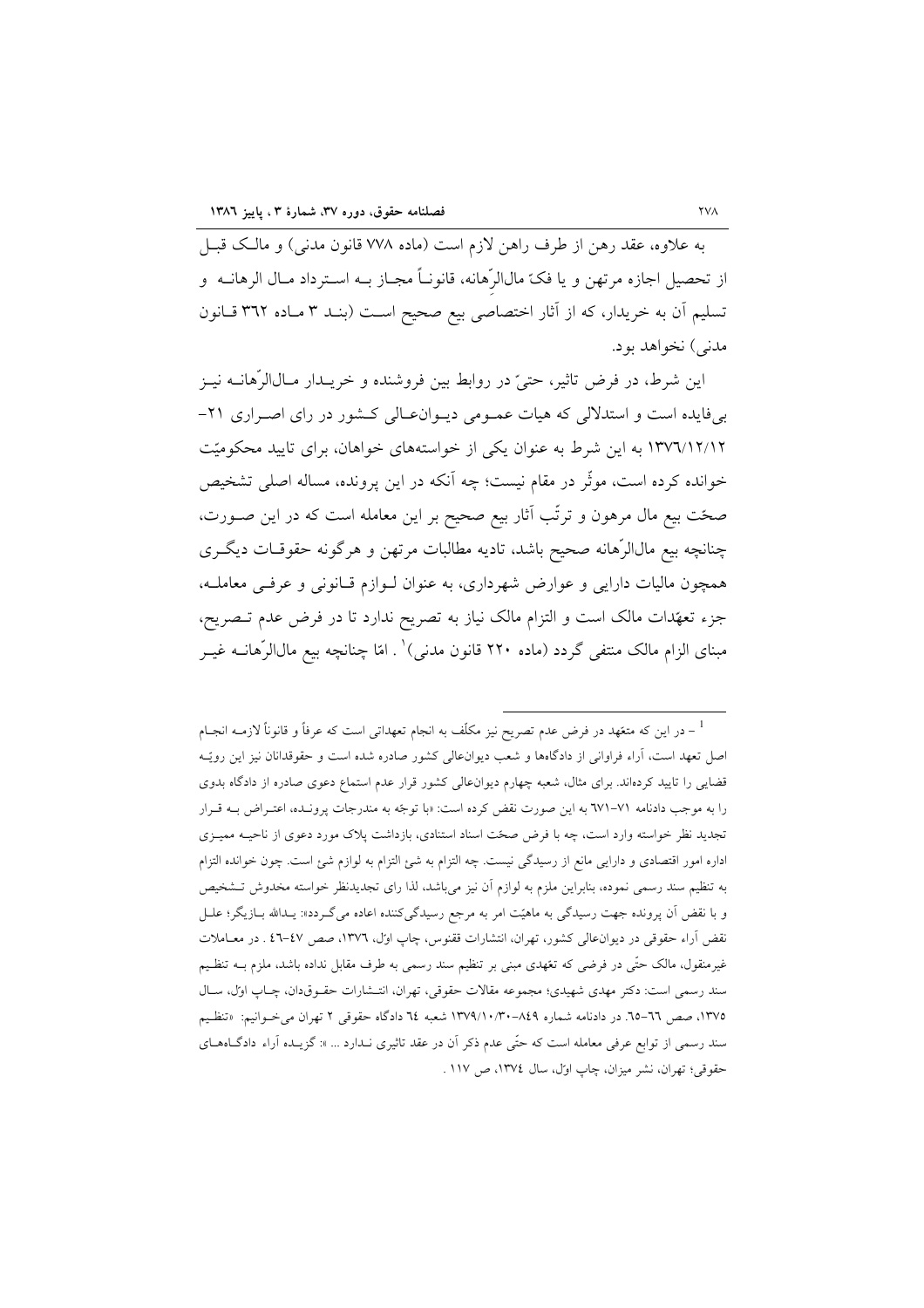به علاوه، عقد رهن از طرف راهن لازم است (ماده ۷۷۸ قانون مدنی) و مالک قبـل از تحصيل اجازه مرتهن و يا فكّ مالالرِّهانه، قانونـاً مجـاز بــه اسـترداد مــال الرهانــه و تسليم أن به خريدار، كه از أثار اختصاصي بيع صحيح است (بنـد ٣ مـاده ٣٦٢ قـانون مدني) نخواهد بود.

این شرط، در فرض تاثیر، حتیّ در روابط بین فروشنده و خریــدار مــال|لرّهانــه نیــز بیفایده است و استدلالی که هیات عمـومی دیـوانءـالی کـشور در رای اصـراری ۲۱-۱۳۷٦/۱۲/۱۲ به این شرط به عنوان یکی از خواستههای خواهان، برای تایید محکومیّت خوانده کرده است، موثّر در مقام نیست؛ چه اَنکه در این پرونده، مساله اصلی تشخیص صحّت بیع مال مرهون و ترتّب آثار بیع صحیح بر این معامله است که در این صـورت، چنانچه بیع مالالرّهانه صحیح باشد، تادیه مطالبات مرتهن و هرگونه حقوقـات دیگـری همچون مالیات دارایی و عوارض شهرداری، به عنوان لـوازم قـانونی و عرفـی معاملـه، جزء تعهّدات مالک است و التزام مالک نیاز به تصریح ندارد تا در فرض عدم تـصریح، مبنای الزام مالک منتفی گردد (ماده ۲۲۰ قانون مدنی) ٰ . امّا چنانچه بیع مال $الرّهانــه غیــر$ 

در این که متعّهد در فرض عدم تصریح نیز مکلّف به انجام تعهداتی است که عرفاً و قانوناً لازمــه انجــام  $^{-1}$ اصل تعهد است، آراء فراوانی از دادگاهها و شعب دیوانءالی کشور صادره شده است و حقوقدانان نیز این رویّـه قضایی را تایید کردهاند. برای مثال، شعبه چهارم دیوانءالی کشور قرار عدم استماع دعوی صادره از دادگاه بدوی را به موجب دادنامه ٧١–٦٧١ به اين صورت نقض كرده است: «با توجّه به مندرجات پرونـده، اعتـراض بــه قـرار تجدید نظر خواسته وارد است، چه با فرض صحّت اسناد استنادی، بازداشت پلاک مورد دعوی از ناحیـه ممیـزی اداره امور اقتصادی و دارایی مانع از رسیدگی نیست. چه التزام به شئ التزام به لوازم شئ است. چون خوانده التزام به تنظیم سند رسمی نموده، بنابراین ملزم به لوازم آن نیز میباشد، لذا رای تجدیدنظر خواسته مخدوش تـشخیص و با نقض آن پرونده جهت رسیدگی به ماهیّت امر به مرجع رسیدگیکننده اعاده میگردد»: یـدالله بـازیگر؛ علـل نقض آراء حقوقی در دیوانءالی کشور، تهران، انتشارات ققنوس، چاپ اول، ۱۳۷٦، صص ٤٧-٤٦ . در معـاملات غیرمنقول، مالک حتّی در فرضی که تعّهدی مبنی بر تنظیم سند رسمی به طرف مقابل نداده باشد، ملزم بــه تنظـیم سند رسمي است: دکتر مهدي شهيدي؛ مجموعه مقالات حقوقي، تهران، انتـشارات حقــوقدان، چــاپ اول، ســال ۱۳۷۵، صص ٦٦–٦٥. در دادنامه شماره ٨٤٩–١٣٧٩/١٠/٣٠ شعبه ٢٤ دادگاه حقوقی ٢ تهران می خـوانيم: «تنظـيم سند رسمی از توابع عرفی معامله است که حتّی عدم ذکر آن در عقد تاثیری نـدارد ... »: گزیـده آراء دادگـاههـای حقوقي؛ تهران، نشر ميزان، چاپ اول، سال ١٣٧٤، ص ١١٧ .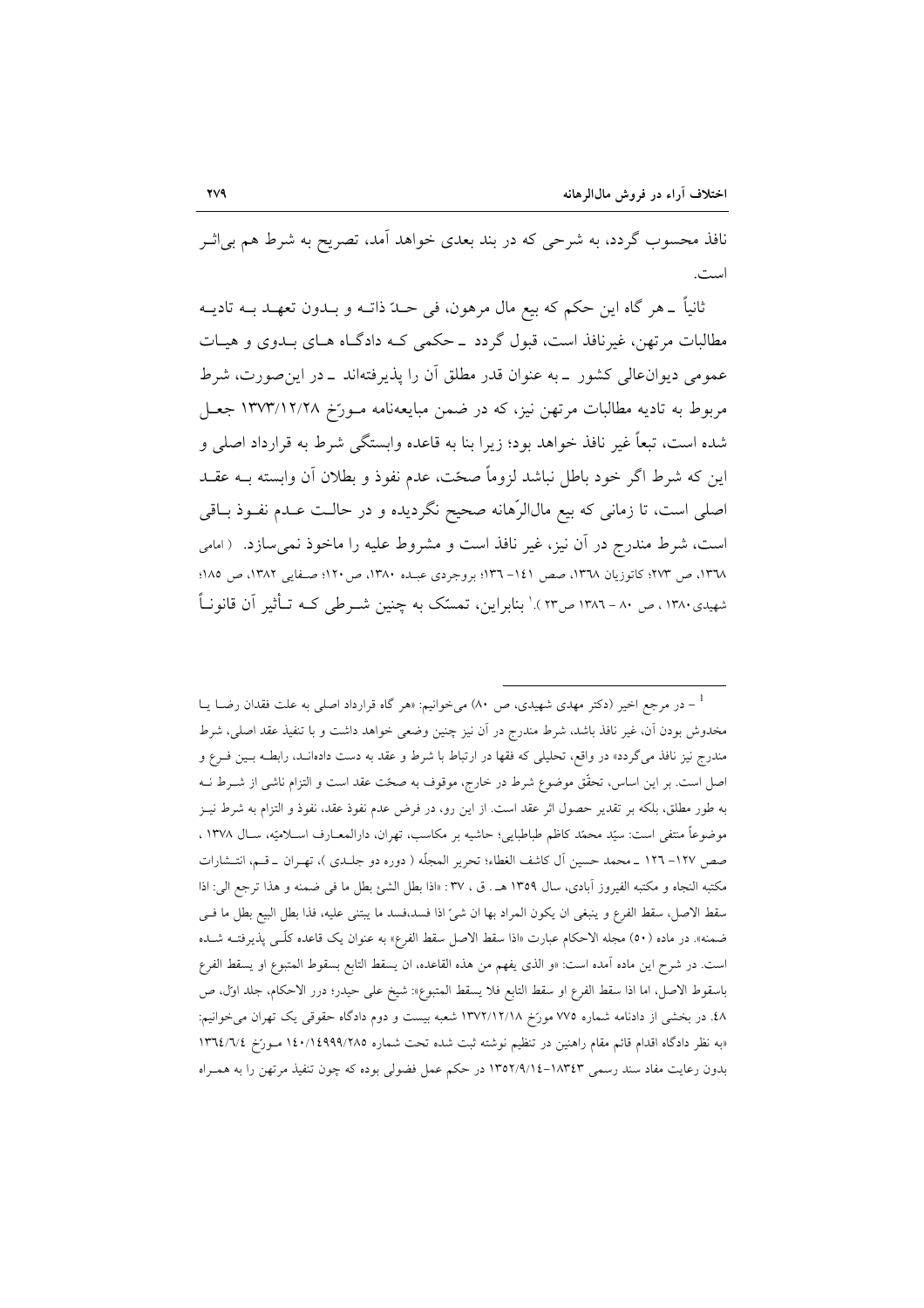نافذ محسوب گردد، به شرحی که در بند بعدی خواهد آمد، تصریح به شرط هم بی|ثــر است.

ثانیاً ۔هر گاه این حکم که بیع مال مرهون، فی حــدّ ذاتــه و بــدون تعهــد بــه تادیــه مطالبات مرتهن، غیرنافذ است، قبول گردد \_حکمی کـه دادگـاه هـای بـدوی و هیـات عمومی دیوانءالی کشور \_به عنوان قدر مطلق اَن را پذیرفتهاند \_در این صورت، شرط مربوط به تادیه مطالبات مرتهن نیز، که در ضمن مبایعهنامه مـورّخ ۱۳۷۳/۱۲/۲۸ جعـل شده است، تبعاً غیر نافذ خواهد بود؛ زیرا بنا به قاعده وابستگی شرط به قرارداد اصلی و این که شرط اگر خود باطل نباشد لزوماً صحّت، عدم نفوذ و بطلان آن وابسته بــه عقــد اصلي است، تا زماني كه بيع مالالرِّهانه صحيح نگرديده و در حالـت عـدم نفـوذ بــاقي است، شرط مندرج در آن نیز، غیر نافذ است و مشروط علیه را ماخوذ نمی سازد. (امامی ١٣٦٨، ص ٢٧٣؛ كاتوزيان ١٣٦٨، صص ١٤١–١٣٦؛ بروجردي عبـده ١٣٨٠، ص ١٢٠؛ صـفايي ١٣٨٢، ص ١٨٥؛ شهیدی۱۳۸۰، ص ۸۰ – ۱۳۸۲ ص۲۳).' بنابراین، تمسّک به چنین شــرطی کــه تــأثیر آن قانونــاً

<sup>-</sup> در مرجع اخیر (دکتر مهدی شهیدی، ص ۸۰) میخوانیم: «هر گاه قرارداد اصلی به علت فقدان رضــا یــا  $^{-1}$ مخدوش بودن آن، غیر نافذ باشد، شرط مندرج در آن نیز چنین وضعی خواهد داشت و با تنفیذ عقد اصلی، شرط مندرج نیز نافذ می گردد» در واقع، تحلیلی که فقها در ارتباط با شرط و عقد به دست دادهانـد، رابطــه بــین فــرع و اصل است. بر این اساس، تحقّق موضوع شرط در خارج، موقوف به صحّت عقد است و التزام ناشی از شــرط نــه به طور مطلق، بلكه بر تقدير حصول اثر عقد است. از اين رو، در فرض عدم نفوذ عقد، نفوذ و التزام به شرط نيـز موضوعاً منتفى است: سيّد محمّد كاظم طباطبايي؛ حاشيه بر مكاسب، تهران، دارالمعـارف اســلاميّه، ســال ١٣٧٨ ، صص ١٢٧- ١٢٦ \_ محمد حسين آل كاشف الغطاء؛ تحرير المجلّه ( دوره دو جلـدي )، تهـران \_ قـم، انتـشارات مكتبه النجاه و مكتبه الفيروز آبادي، سال ١٣٥٩ هـ. ق ، ٣٧: «اذا بطل الشئ بطل ما في ضمنه و هذا ترجع الي: اذا سقط الاصل، سقط الفرع و ينبغي ان يكون المراد بها ان شيّ اذا فسد،فسد ما يبتني عليه، فذا بطل البيع بطل ما فـي ضمنه». در ماده (٥٠) مجله الاحکام عبارت «اذا سقط الاصل سقط الفرع» به عنوان یک قاعده کلّــی پذیرفتــه شــده است. در شرح اين ماده آمده است: «و الذي يفهم من هذه القاعده، ان يسقط التابع بسقوط المتبوع او يسقط الفرع باسقوط الاصل، اما اذا سقط الفرع او سقط التابع فلا يسقط المتبوع»: شيخ على حيدر؛ درر الاحكام، جلد اوّل، ص ٤٨. در بخشي از دادنامه شماره ٧٧٥ مورّخ ١٣٧٢/١٢/١٨ شعبه بيست و دوم دادگاه حقوقي يک تهران مي خوانيم: «به نظر دادگاه اقدام قائم مقام راهنین در تنظیم نوشته ثبت شده تحت شماره ۱٤٠/١٤٩٩٩/٢٨٥ مـورَخ ١٣٦٤/٦/٤ بدون رعایت مفاد سند رسمی ۱۸۳٤۳–۱۳۵۲/۹/۱٤ در حکم عمل فضولی بوده که چون تنفیذ مرتهن را به همـراه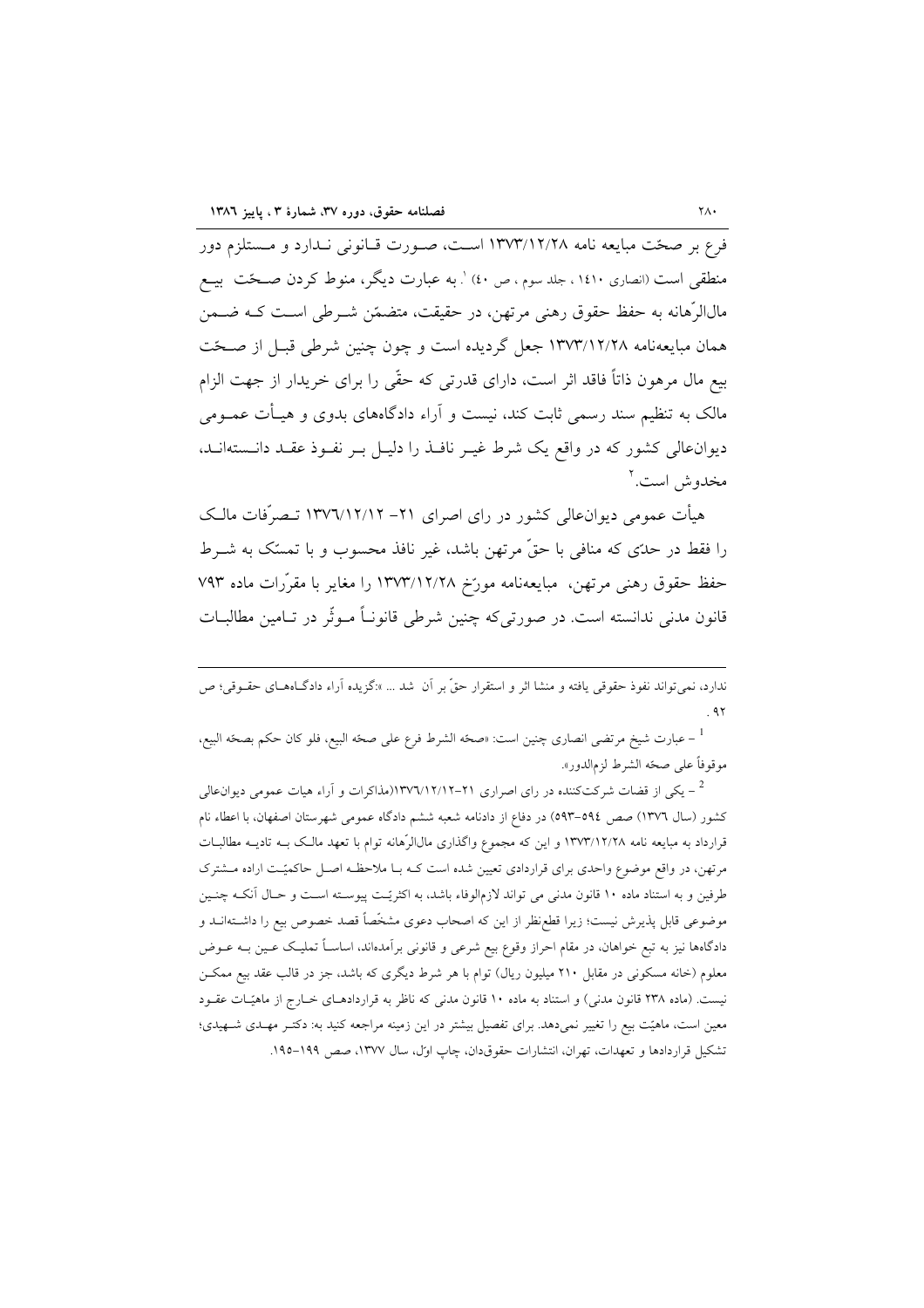فرع بر صحّت مبايعه نامه ١٣٧٣/١٢/٢٨ اسـت، صـورت قـانوني نـدارد و مـستلزم دور منطقی است (انصاری ۱٤١٠ ، جلد سوم ، ص ٤٠) '. به عبارت دیگر ، منوط کردن صـحّت بیــع مالالرَّهانه به حفظ حقوق رهني مرتهن، در حقيقت، متضمّن شــرطي اســت كــه ضــمن همان مبايعهنامه ١٣٧٣/١٢/٢٨ جعل گرديده است و چون چنين شرطي قبـل از صـحّت بیع مال مرهون ذاتاً فاقد اثر است، دارای قدرتی که حقّی را برای خریدار از جهت الزام مالک به تنظیم سند رسمی ثابت کند، نیست و آراء دادگاههای بدوی و هیـأت عمــومی دیوانءالی کشور که در واقع یک شرط غیـر نافـذ را دلیـل بـر نفـوذ عقـد دانـستهانـد، مخدوش است.'

هیأت عمومی دیوانءالی کشور در رای اصرای ۲۱– ۱۳۷٦/۱۲/۱۲ تــصرّفات مالـک را فقط در حدَّى كه منافى با حقٌّ مرتهن باشد، غير نافذ محسوب و با تمسَّك به شــرط حفظ حقوق رهنی مرتهن، مبایعهنامه مورّخ ۱۳۷۳/۱۲/۲۸ را مغایر با مقرّرات ماده ۷۹۳ قانون مدنی ندانسته است. در صورتی که چنین شرطی قانونــاً مــوثّر در تــامین مطالبــات

ندارد، نمی تواند نفوذ حقوقی یافته و منشا اثر و استقرار حقٌّ بر آن شد … »:گزیده آراء دادگـاههـای حقــوقی؛ ص  $4<sub>x</sub>$ 

<sup>1</sup> − عبارت شيخ مرتضى انصارى چنين است: «صحّه الشرط فرع على صحّه البيع، فلو كان حكم بصحّه البيع، موقوفاً على صحّه الشرط لزمالدور».

یکی از قضات شرکتکننده در رای اصراری ۲۱–۱۳۷۲/۱۲/۱۲ (مذاکرات و آراء هیات عمومی دیوانءالی – کشور (سال ۱۳۷٦) صص ٥٩٤–٥٩٣) در دفاع از دادنامه شعبه ششم دادگاه عمومی شهرستان اصفهان، با اعطاء نام قرارداد به مبایعه نامه ۱۳۷۳/۱۲/۲۸ و این که مجموع واگذاری مال|لرّهانه توام با تعهد مالک بـه تادیـه مطالبـات مرتهن، در واقع موضوع واحدی برای قراردادی تعیین شده است کـه بـا ملاحظـه اصـل حاکمیّـت اراده مـشترک طرفین و به استناد ماده ۱۰ قانون مدنی می تواند لازمالوفاء باشد، به اکثریّـت پیوسـته اسـت و حـال آنکـه چنـین موضوعی قابل پذیرش نیست؛ زیرا قطع نظر از این که اصحاب دعوی مشخّصاً قصد خصوص بیع را داشـتهانــد و دادگاهها نیز به تبع خواهان، در مقام احراز وقوع بیع شرعی و قانونی برآمدهاند، اساسـاً تملیــک عــین بــه عــوض معلوم (خانه مسکونی در مقابل ۲۱۰ میلیون ریال) توام با هر شرط دیگری که باشد، جز در قالب عقد بیع ممکــن نیست. (ماده ۲۳۸ قانون مدنی) و استناد به ماده ۱۰ قانون مدنی که ناظر به قراردادهـای خـارج از ماهیّـات عقـود معین است، ماهیّت بیع را تغییر نمیدهد. برای تفصیل بیشتر در این زمینه مراجعه کنید به: دکتـر مهـدی شـهیدی؛ تشکیل قراردادها و تعهدات، تهران، انتشارات حقوق دان، چاپ اول، سال ۱۳۷۷، صص ۱۹۹–۱۹۰.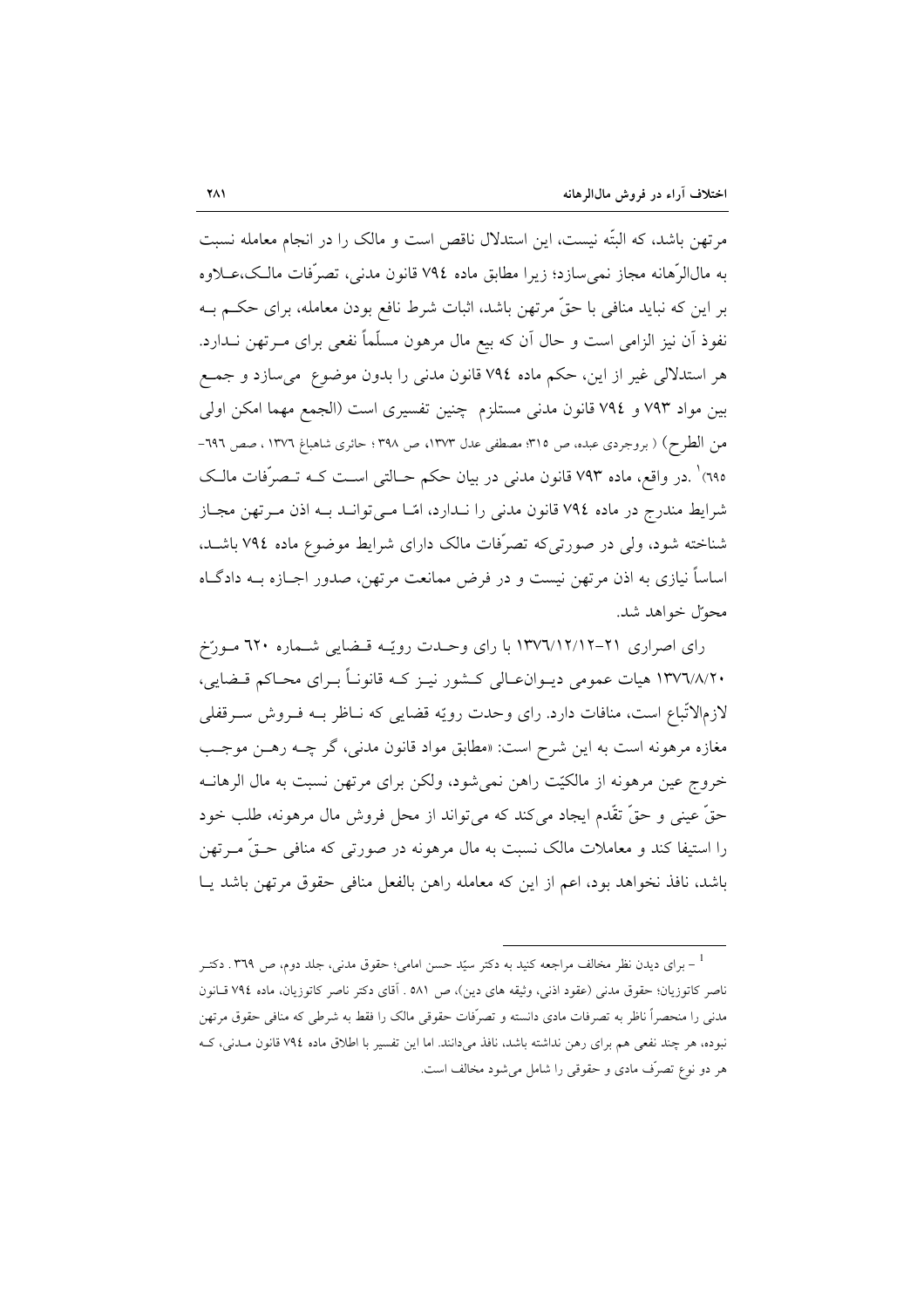مرتهن باشد، که البتّه نیست، این استدلال ناقص است و مالک را در انجام معامله نسبت به مالالرَّهانه مجاز نمي سازد؛ زيرا مطابق ماده ٧٩٤ قانون مدني، تصرَّفات مالـك،عــلاوه بر این که نباید منافی با حقٌّ مرتهن باشد، اثبات شرط نافع بودن معامله، برای حکـم بــه نفوذ آن نیز الزامی است و حال آن که بیع مال مرهون مسلّماً نفعی برای مــرتهن نــدارد. هر استدلالي غير از اين، حكم ماده ٧٩٤ قانون مدنى را بدون موضوع مىسازد و جمع بين مواد ٧٩٣ و ٧٩٤ قانون مدنى مستلزم چنين تفسيري است (الجمع مهما امكن اولى من الطرح) ( بروجردي عبده، ص ٣١٥؛ مصطفى عدل ١٣٧٣، ص ٣٩٨؛ حائري شاهباغ ١٣٧٦ ، صص ٦٩٦-٦٩٥) `.در واقع، ماده ٧٩٣ قانون مدنى در بيان حكم حـالتي اسـت كــه تــصرّفات مالـك شرایط مندرج در ماده ۷۹٤ قانون مدنی را نـدارد، امّـا مـی توانـد بـه اذن مـر تهن مجـاز شناخته شود، ولی در صورتی که تصرّفات مالک دارای شرایط موضوع ماده ٧٩٤ باشـد. اساساً نیازی به اذن مرتهن نیست و در فرض ممانعت مرتهن، صدور اجـازه بــه دادگــاه محوّل خواهد شد.

رای اصراری ۲۱-۱۳۷٦/۱۲/۱۲ با رای وحدت رویّه قضایی شماره ۲۲۰ مورّخ ۱۳۷٦/۸/۲۰ هیات عمومی دیــوان۱عـالی کــشور نیــز کــه قانونــأ بــرای محــاکم قــضایی، لازمالاتّباع است، منافات دارد. رای وحدت رویّه قضایی که نـاظر بـه فـروش سـرقفلی مغازه مرهونه است به اين شرح است: «مطابق مواد قانون مدني، گر چــه رهـن موجـب خروج عين مرهونه از مالكيّت راهن نمي شود، ولكن براي مرتهن نسبت به مال الرهانــه حقَّ عيني و حقَّ تقَّدم ايجاد ميكند كه مي تواند از محل فروش مال مرهونه، طلب خود را استیفا کند و معاملات مالک نسبت به مال مرهونه در صورتی که منافی حـقٌّ مـرتهن باشد، نافذ نخواهد بود، اعم از این که معامله راهن بالفعل منافی حقوق مرتهن باشد یــا

<sup>&</sup>lt;sup>1</sup> – برای دیدن نظر مخالف مراجعه کنید به دکتر سیّد حسن امامی؛ حقوق مدنی، جلد دوم، ص ۳۶۹ . دکتــر ناصر كاتوزيان؛ حقوق مدنى (عقود اذنى، وثيقه هاى دين)، ص ٥٨١ . آقاى دكتر ناصر كاتوزيان، ماده ٧٩٤ قـانون مدنی را منحصراً ناظر به تصرفات مادی دانسته و تصرّفات حقوقی مالک را فقط به شرطی که منافی حقوق مرتهن نبوده، هر چند نفعی هم برای رهن نداشته باشد، نافذ میدانند. اما این تفسیر با اطلاق ماده ۷۹٤ قانون مـدنی، کـه هر دو نوع تصرّف مادي و حقوقي را شامل مي شود مخالف است.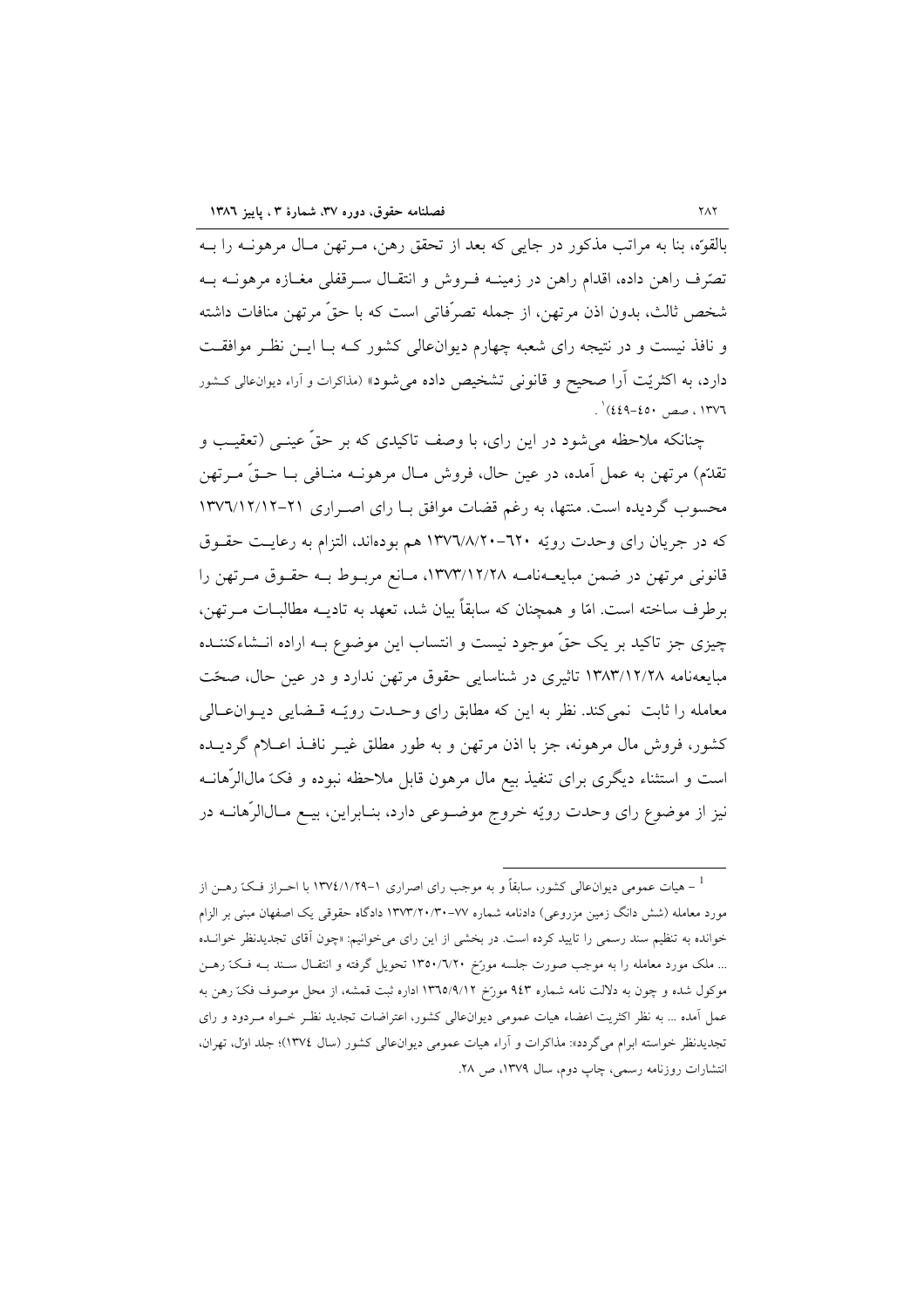بالقوَّه، بنا به مراتب مذكور در جايبي كه بعد از تحقق رهن، مـرتهن مـال مرهونــه را بــه تصّرف راهن داده، اقدام راهن در زمینــه فــروش و انتقــال ســرقفلی مغــازه مرهونــه بــه شخص ثالث، بدون اذن مرتهن، از جمله تصرِّفاتي است كه با حقٍّ مرتهن منافات داشته و نافذ نیست و در نتیجه رای شعبه چهارم دیوانءالی کشور کـه بـا ایـن نظـر موافقـت دارد، به اکثریّت آرا صحیح و قانونی تشخیص داده می شود» (مذاکرات و آراء دیوان عالی کشور . ١٣٧٦ ، صص ٤٥٠-٤٤٩)' .

چنانکه ملاحظه میشود در این رای، با وصف تاکیدی که بر حقّ عینــی (تعقیـب و تقدَّم) مرتهن به عمل آمده، در عین حال، فروش مـال مرهونــه منــافی بــا حــقَّ مــرتهن محسوب گردیده است. منتها، به رغم قضات موافق بـا رای اصـراری ۲۱-۱۳۷٦/۱۲/۱۲ که در جریان رای وحدت رویّه ٦٢٠-١٣٧٦/٨/٢٠- هم بودهاند، التزام به رعایت حقـوق قانونی مرتهن در ضمن مبایعــهنامــه ۱۳۷۳/۱۲/۲۸، مــانع مربــوط بــه حقــوق مــرتهن را برطرف ساخته است. امّا و همچنان که سابقاً بیان شد، تعهد به تادیــه مطالبــات مــرتهن، چیزی جز تاکید بر یک حقٌّ موجود نیست و انتساب این موضوع بـه اراده انــشاءکننــده مبايعهنامه ١٣٨٣/١٢/٢٨ تاثيري در شناسايي حقوق مرتهن ندارد و در عين حال، صحّت معامله را ثابت "نبی کند. نظر به این که مطابق رای و حـدت رویّـه قـضایی دیـوان١عـالی ۔<br>کشور، فروش مال مرهونه، جز یا اذن مرتھن و به طور مطلق غیر نافیذ اعبلام گردیبده است و استثناء دیگری برای تنفیذ بیع مال مرهون قابل ملاحظه نبوده و فکّ مالاارْهانــه نیز از موضوع رای وحدت رویّه خروج موضـوعی دارد، بنـابراین، بیـع مـالالرّهانــه در

<sup>&</sup>lt;sup>1</sup> – هیات عمومی دیوانءالی کشور، سابقاً و به موجب رای اصراری ۱–۱۳۷٤/۱/۲۹ با احـراز فـکّ رهــن از مورد معامله (شش دانگ زمین مزروعی) دادنامه شماره ۷۷–۱۳۷۳/۲۰/۳۰ دادگاه حقوقی یک اصفهان مبنی بر الزام خوانده به تنظیم سند رسمی را تایید کرده است. در بخشی از این رای میخوانیم: «چون آقای تجدیدنظر خوانـده ... ملک مورد معامله را به موجب صورت جلسه مورّخ ۱۳۵۰/۷۲۰ تحویل گرفته و انتقـال سـند بـه فـکّ رهـن موکول شده و چون به دلالت نامه شماره ۹٤۳ مورخ ۱۳٦٥/۹/۱۲ اداره ثبت قمشه، از محل موصوف فکّ رهن به عمل آمده ... به نظر اکثریت اعضاء هیات عمومی دیوانءالی کشور، اعتراضات تجدید نظـر خـواه مـردود و رای تجدیدنظر خواسته ابرام میگردد»: مذاکرات و آراء هیات عمومی دیوانءالی کشور (سال ۱۳۷٤)؛ جلد اول، تهران، انتشارات روزنامه رسمي، چاپ دوم، سال ١٣٧٩، ص ٢٨.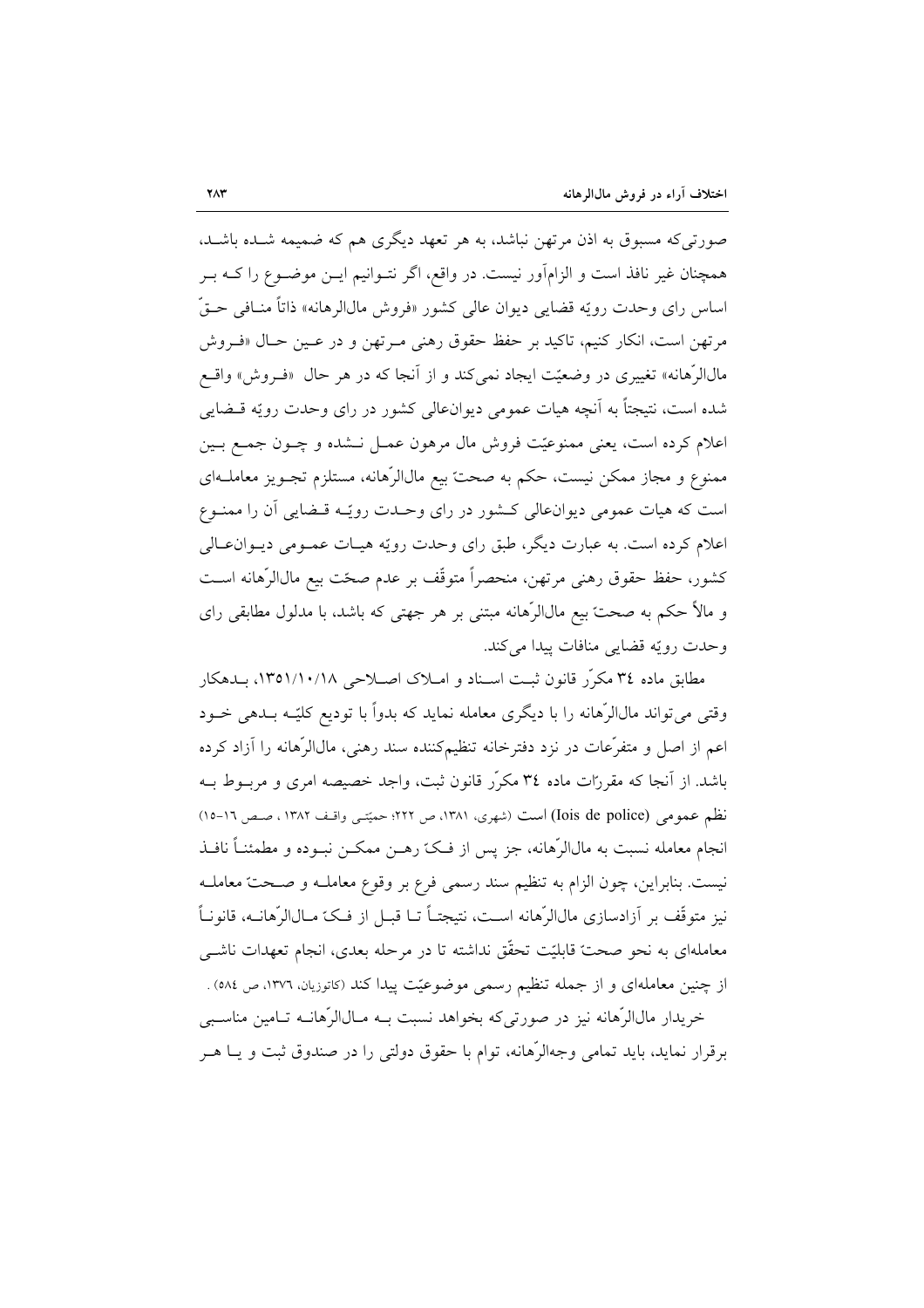صورتی که مسبوق به اذن مرتهن نباشد، به هر تعهد دیگری هم که ضمیمه شـده باشـد. همچنان غیر نافذ است و الزامآور نیست. در واقع، اگر نتـوانیم ایــن موضــوع را کــه بــر اساس راي وحدت رويّه قضايي ديوان عالي كشور «فروش مالالرهانه» ذاتاً منـافي حـقّ مرتهن است، انکار کنیم، تاکید بر حفظ حقوق رهنی مـرتهن و در عـین حـال «فـروش مالالرِّهانه» تغییری در وضعیّت ایجاد نمی کند و از اَنجا که در هر حال «فـروش» واقــع شده است، نتیجتاً به آنچه هیات عمومی دیوانءالی کشور در رای وحدت رویّه قــضایی اعلام کرده است، یعنی ممنوعیّت فروش مال مرهون عمـل نـشده و چـون جمـع بـین ممنوع و مجاز ممکن نیست، حکم به صحت بیع مالاالرِّهانه، مستلزم تجـویز معاملــهای است که هیات عمومی دیوان عالی کـشور در رای وحـدت رویّـه قـضایی آن را ممنـوع اعلام کرده است. به عبارت دیگر، طبق رای وحدت رویّه هیـات عمـومی دیـوان١عـالی كشور، حفظ حقوق رهني مرتهن، منحصراً متوقَّف بر عدم صحَّت بيع مالالرِّهانه اسـت و مالاً حکم به صحت بیع مالالرّهانه مبتنی بر هر جهتی که باشد، با مدلول مطابقی رای وحدت رويّه قضايي منافات پيدا مي كند.

مطابق ماده ٣٤ مكرَّر قانون ثبت اسـناد و امـلاک اصـلاحی ١٣٥١/١٠/١٨، بـدهکار وقتی می تواند مالالرّهانه را با دیگری معامله نماید که بدواً با تودیع کلیّـه بــدهی خــود اعم از اصل و متفرِّعات در نزد دفترِخانه تنظیمکننده سند رهنی، مالاالرِّهانه را آزاد کرده باشد. از آنجا که مقررات ماده ۳٤ مکرّر قانون ثبت، واجد خصیصه امری و مربــوط بــه نظم عمومي (Iois de police) است (شهري، ١٣٨١، ص ٢٢٢؛ حميّتي واقـف ١٣٨٢ ، صـص ١٦-١٥) انجام معامله نسبت به مال|لرِّهانه، جز يس از فـکّ رهــن ممکــن نبــوده و مطمئنــاً نافــذ نیست. بنابراین، چون الزام به تنظیم سند رسمی فرع بر وقوع معاملـه و صـحتّ معاملـه نيز متوقِّف بر آزادسازي مال|لرِّهانه اسـت، نتيجتـاً تــا قبــل از فــكّ مــال|لرِّهانــه، قانونــاً معاملهای به نحو صحت قابلیّت تحقّق نداشته تا در مرحله بعدی، انجام تعهدات ناشــی از چنین معاملهای و از جمله تنظیم رسمی موضوعیّت پیدا کند (کاتوزیان، ۱۳۷۲، ص ۵۸٤) .

خریدار مالاارْهانه نیز در صورتی که بخواهد نسبت بـه مـالاارْهانــه تـامین مناسـبی برقرار نماید، باید تمامی وجهالرِّهانه، توام با حقوق دولتی را در صندوق ثبت و یــا هــر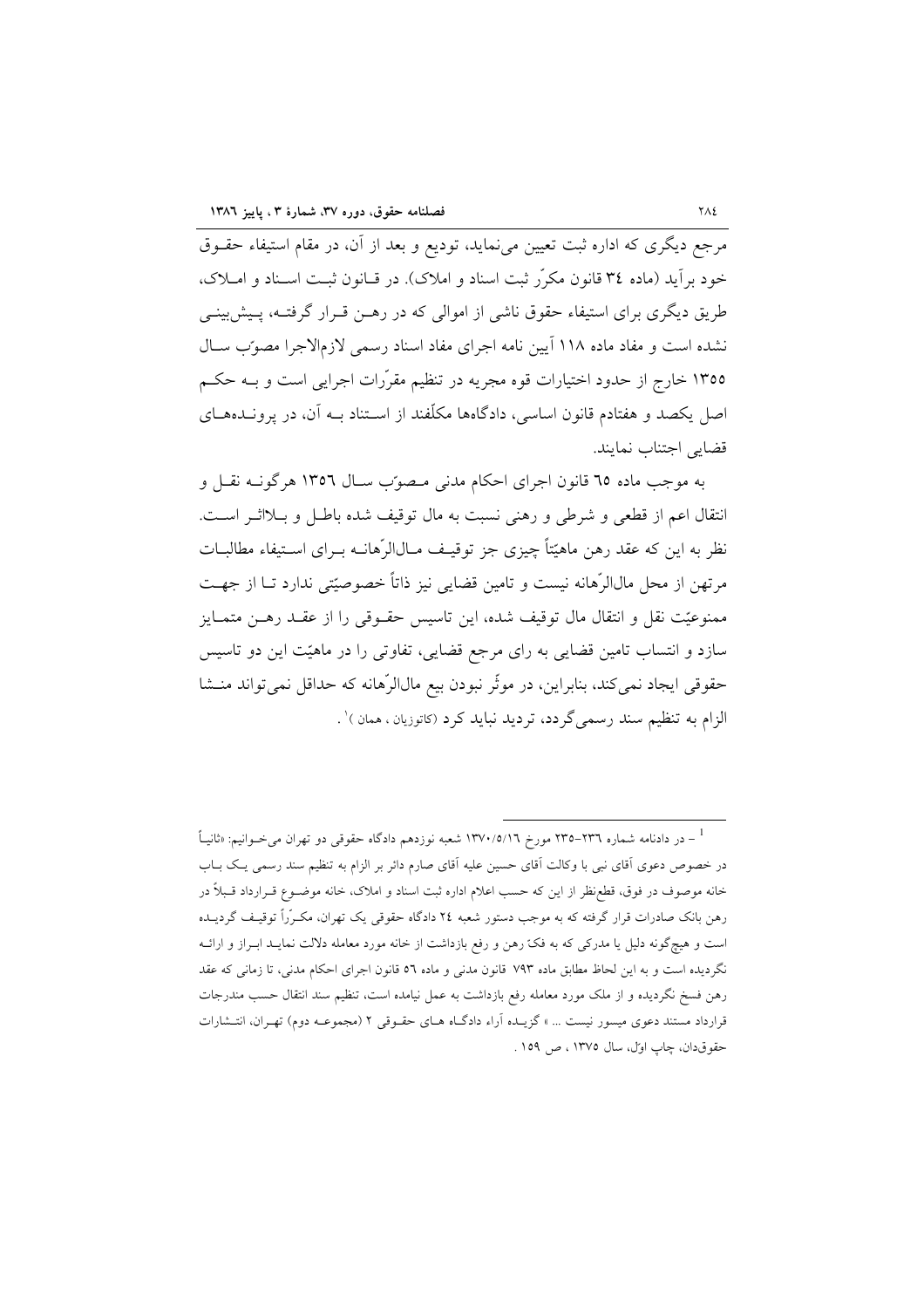مرجع دیگری که اداره ثبت تعیین می نماید، تودیع و بعد از آن، در مقام استیفاء حقــوق خود برآيد (ماده ٣٤ قانون مكرَّر ثبت اسناد و املاك). در قــانون ثبـت اسـناد و امــلاک، طریق دیگری برای استیفاء حقوق ناشی از اموالی که در رهــن قــرار گرفتــه، پــیش;بینــی نشده است و مفاد ماده ۱۱۸ آیین نامه اجرای مفاد اسناد رسمی لازمالاجرا مصوّب سـال ۱۳۵۵ خارج از حدود اختیارات قوه مجریه در تنظیم مقرّرات اجرایی است و بــه حکــم اصل یکصد و هفتادم قانون اساسی، دادگاهها مکلّفند از اسـتناد بــه آن، در پرونــدههــای قضايي اجتناب نمايند.

به موجب ماده ٦٥ قانون اجراي احكام مدنى مصوّب سـال ١٣٥٦ هرگونــه نقـل و انتقال اعم از قطعی و شرطی و رهنی نسبت به مال توقیف شده باطل و بـلااثـر اسـت. نظر به این که عقد رهن ماهیّتاً چیزی جز توقیـف مـال|لرّهانــه بــرای اســتیفاء مطالبــات مرتهن از محل مالالرّهانه نیست و تامین قضایی نیز ذاتاً خصوصیّتی ندارد تـا از جهـت ممنوعیّت نقل و انتقال مال توقیف شده، این تاسیس حقـوقی را از عقــد رهــن متمــایز سازد و انتساب تامین قضایی به رای مرجع قضایی، تفاوتی را در ماهیّت این دو تاسیس حقوقی ایجاد نمیکند، بنابراین، در موثّر نبودن بیع مالالرّهانه که حداقل نمیتواند منــشا الزام به تنظیم سند رسمی گردد، تردید نباید کرد (کاتوزیان ، همان )' .

<sup>&</sup>lt;sup>1</sup> – در دادنامه شماره ۲۳٦–۲۳۵ مورخ ۱۳۷۰/۵/۱٦ شعبه نوزدهم دادگاه حقوقی دو تهران میخــوانیم: «ثانیــاً در خصوص دعوی آقای نبی با وکالت آقای حسین علیه آقای صارم دائر بر الزام به تنظیم سند رسمی یک بـاب خانه موصوف در فوق، قطع نظر از این که حسب اعلام اداره ثبت اسناد و املاک، خانه موضــوع قــرارداد قــبلاً در رهن بانک صادرات قرار گرفته که به موجب دستور شعبه ٢٤ دادگاه حقوقی یک تهران، مکـرّراً توقیـف گردیــده است و هیچگونه دلیل یا مدرکی که به فکّ رهن و رفع بازداشت از خانه مورد معامله دلالت نمایـد ابـراز و ارائـه نگردیده است و به این لحاظ مطابق ماده ۷۹۳ قانون مدنی و ماده ٥٦ قانون اجرای احکام مدنی، تا زمانی که عقد رهن فسخ نگردیده و از ملک مورد معامله رفع بازداشت به عمل نیامده است، تنظیم سند انتقال حسب مندرجات قرارداد مستند دعوی میسور نیست … » گزیــده آراء دادگــاه هــای حقــوقی ۲ (مجموعــه دوم) تهــران، انتــشارات حقوق دان، چاپ اول، سال ۱۳۷۵، ص ۱۵۹.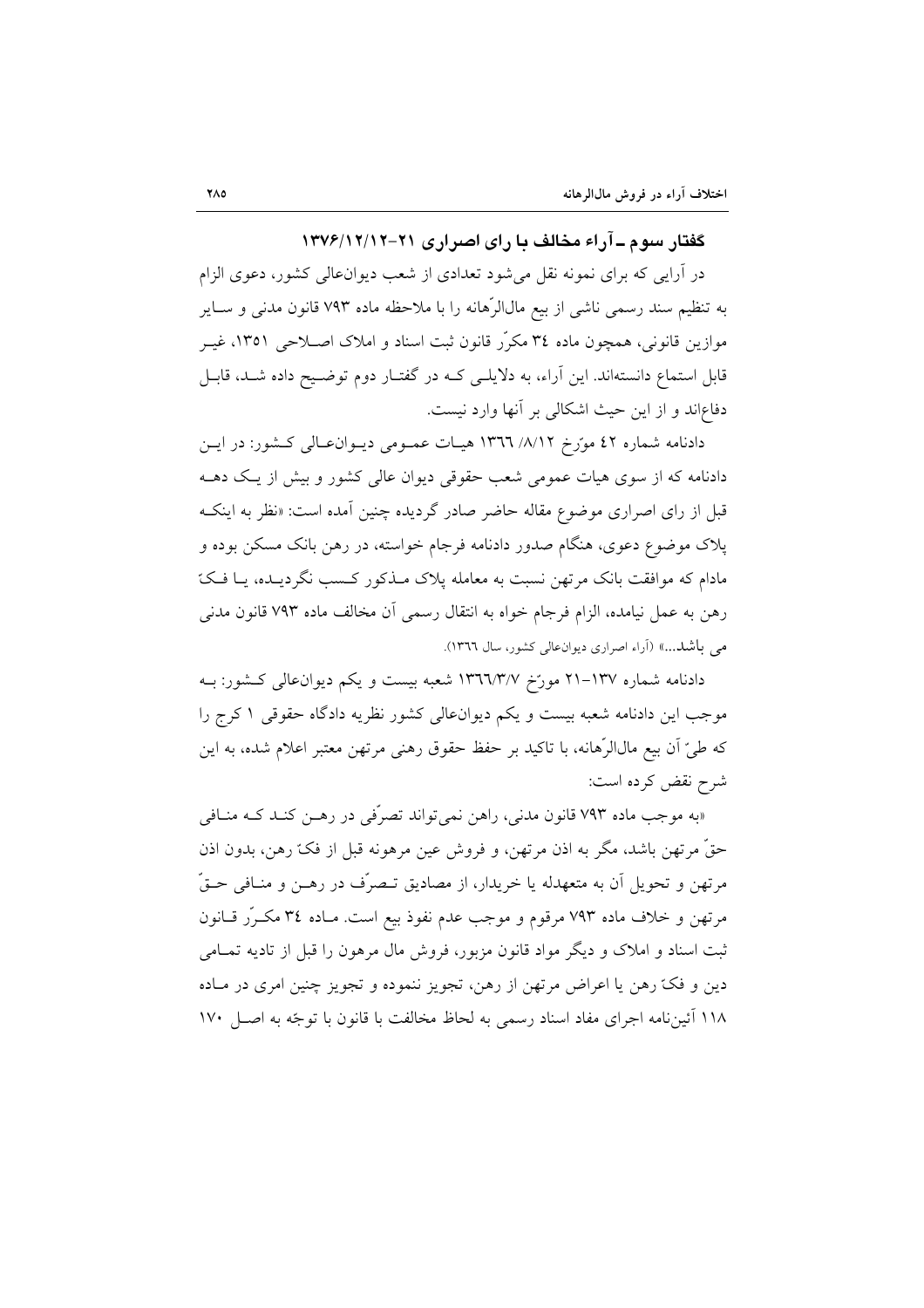گفتار سوم ـ آراء مخالف با رای اصراری ۲۱–۱۳۷۶/۱۲/۱۲

در آرایبی که برای نمونه نقل میشود تعدادی از شعب دیوانءالی کشور، دعوی الزام به تنظیم سند رسمی ناشی از بیع مال|لرّهانه را با ملاحظه ماده ۷۹۳ قانون مدنی و سـایر موازین قانونی، همچون ماده ۳٤ مکرّر قانون ثبت اسناد و املاک اصـلاحی ١٣٥١، غیــر قابل استماع دانستهاند. این آراء، به دلایلـی کـه در گفتـار دوم توضـیح داده شـد، قابـل دفاعاند و از این حیث اشکالی بر آنها وارد نیست.

دادنامه شماره ٤٢ مورَّخ ١٣٦٦/ ١٣٦٦ هيات عمـومي ديـوان عـالي كـشور: در ايـن دادنامه که از سوی هیات عمومی شعب حقوقی دیوان عالی کشور و بیش از یک دهــه قبل از رای اصراری موضوع مقاله حاضر صادر گردیده چنین آمده است: «نظر به اینکـه پلاک موضوع دعوی، هنگام صدور دادنامه فرجام خواسته، در رهن بانک مسکن بوده و مادام که موافقت بانک مرتهن نسبت به معامله پلاک مـذکور کـسب نگردیـده، یـا فـکّ رهن به عمل نیامده، الزام فرجام خواه به انتقال رسمی آن مخالف ماده ۷۹۳ قانون مدنی می باشد...» (آراء اصراری دیوان عالی کشور، سال ١٣٦٦).

دادنامه شماره ۱۳۷–۲۱ مورّخ ۱۳٦٦/۳/۷ شعبه بیست و یکم دیوانءالی کـشور: بــه موجب این دادنامه شعبه بیست و یکم دیوانءالی کشور نظریه دادگاه حقوقی ۱ کرج را كه طيِّ أن بيع مال[ارْهانه، با تاكيد بر حفظ حقوق رهني مرتهن معتبر اعلام شده، به اين شرح نقض کرده است:

«به موجب ماده ۷۹۳ قانون مدنی، راهن نمی تواند تصرّفی در رهـن کنـد کـه منـافی حقَّ مرتهن باشد، مگر به اذن مرتهن، و فروش عین مرهونه قبل از فکّ رهن، بدون اذن مرتهن و تحويل آن به متعهدله يا خريدار، از مصاديق تـصرّف در رهــن و منــافي حــقّ مرتهن و خلاف ماده ۷۹۳ مرقوم و موجب عدم نفوذ بيع است. مـاده ۳٤ مكـرَّر قــانون ثبت اسناد و املاک و دیگر مواد قانون مزبور، فروش مال مرهون را قبل از تادیه تمــامی دين و فکّ رهن يا اعراض مرتهن از رهن، تجويز ننموده و تجويز چنين امري در مـاده ۱۱۸ آئین نامه اجرای مفاد اسناد رسمی به لحاظ مخالفت با قانون با توجّه به اصل ۱۷۰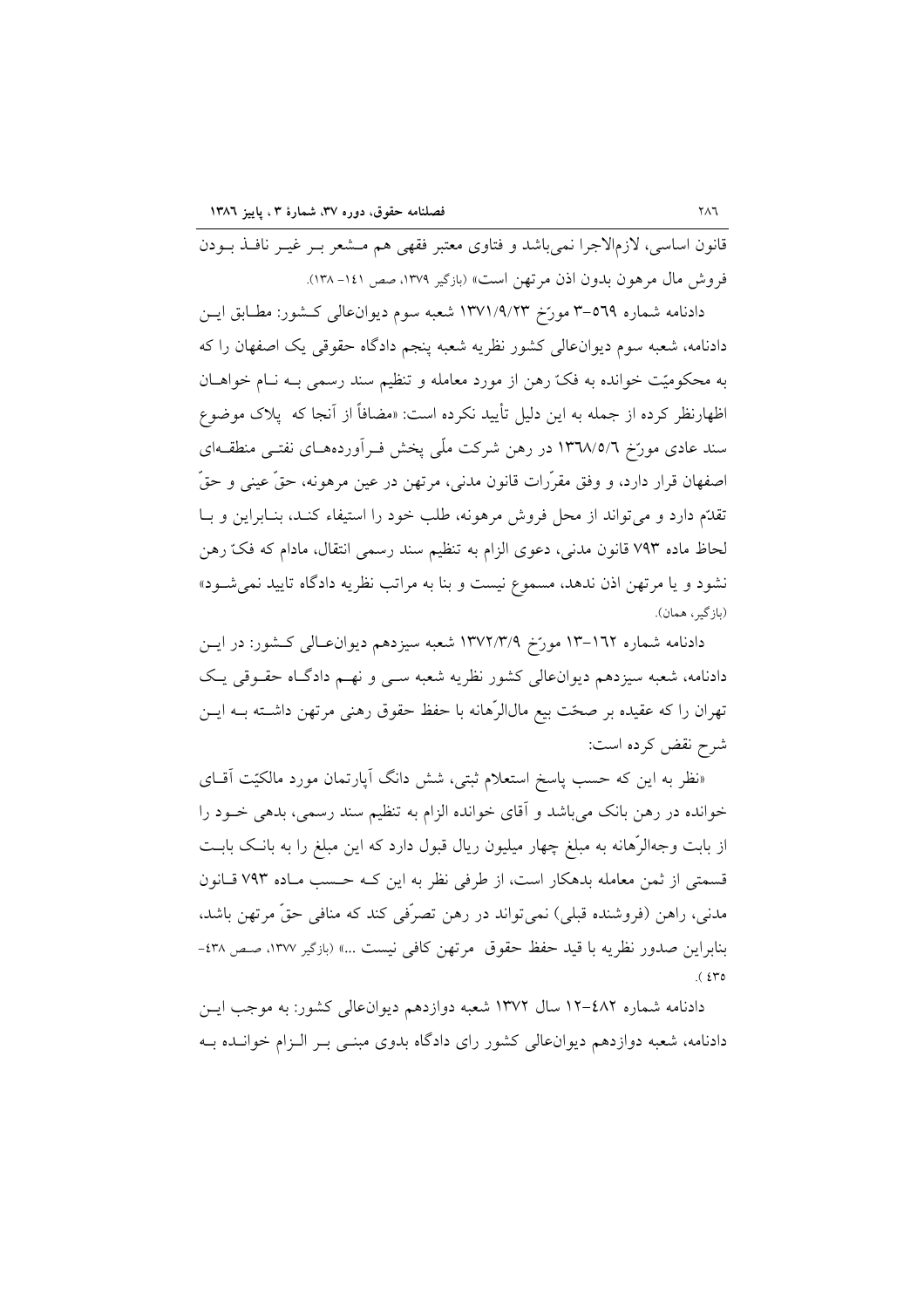قانون اساسی، لازمالاجرا نمیباشد و فتاوی معتبر فقهی هم مـشعر بـر غیـر نافـذ بــودن فروش مال مرهون بدون اذن مرتهن است» (بازگیر ۱۳۷۹، صص ۱٤۱- ۱۳۸).

دادنامه شماره ٥٦٩–٣ مورّخ ١٣٧١/٩/٢٣ شعبه سوم ديوانءالي كـشور: مطـابق ايـن دادنامه، شعبه سوم دیوانءالی کشور نظریه شعبه پنجم دادگاه حقوقی یک اصفهان را که به محکومیّت خوانده به فکّ رهن از مورد معامله و تنظیم سند رسمی بـه نـام خواهــان اظهارنظر کرده از جمله به این دلیل تأیید نکرده است: «مضافاً از آنجا که پلاک موضوع سند عادی مورّخ ۱۳٦۸/٥/٦ در رهن شرکت ملّی پخش فـرآوردههـای نفتـی منطقـهای اصفهان قرار دارد، و وفق مقرَّرات قانون مدني، مرتهن در عين مرهونه، حقَّ عيني و حقَّ تقدَّم دارد و می تواند از محل فروش مرهونه، طلب خود را استیفاء کنـد، بنـابراین و بـا لحاظ ماده ۷۹۳ قانون مدنی، دعوی الزام به تنظیم سند رسمی انتقال، مادام که فکّ رهن نشود و یا مرتهن اذن ندهد، مسموع نیست و بنا به مراتب نظریه دادگاه تایید نمی شود» (بازگير، همان).

دادنامه شماره ۱۳-۱۳ مورّخ ۱۳۷۲/۳/۹ شعبه سیزدهم دیوان،الی کشور: در ایــن دادنامه، شعبه سیزدهم دیوانءالی کشور نظریه شعبه سبی و نهـم دادگـاه حقـوقی یـک تهران را که عقیده بر صحّت بیع مال|لرّهانه با حفظ حقوق رهنی مرتهن داشــته بــه ایــن شرح نقض کرده است:

«نظر به این که حسب پاسخ استعلام ثبتی، شش دانگ آپارتمان مورد مالکیّت آقــای خوانده در رهن بانک میباشد و آقای خوانده الزام به تنظیم سند رسمی، بدهی خـود را از بابت وجهالرِّهانه به مبلغ چهار میلیون ریال قبول دارد که این مبلغ را به بانـک بابـت قسمتی از ثمن معامله بدهکار است، از طرفی نظر به این کـه حـسب مـاده ۷۹۳ قـانون مدنی، راهن (فروشنده قبلی) نمیتواند در رهن تصرّفی کند که منافی حقّ مرتهن باشد، بنابراين صدور نظريه با قيد حفظ حقوق مرتهن كافي نيست ...» (بازگير ١٣٧٧، صص ٤٣٨- $(570)$ 

دادنامه شماره ۶۸۲-۱۲ سال ۱۳۷۲ شعبه دوازدهم دیوان عالی کشور: به موجب ایس دادنامه، شعبه دوازدهم دیوان عالی کشور رای دادگاه بدوی مبنــی بــر الــزام خوانــده بــه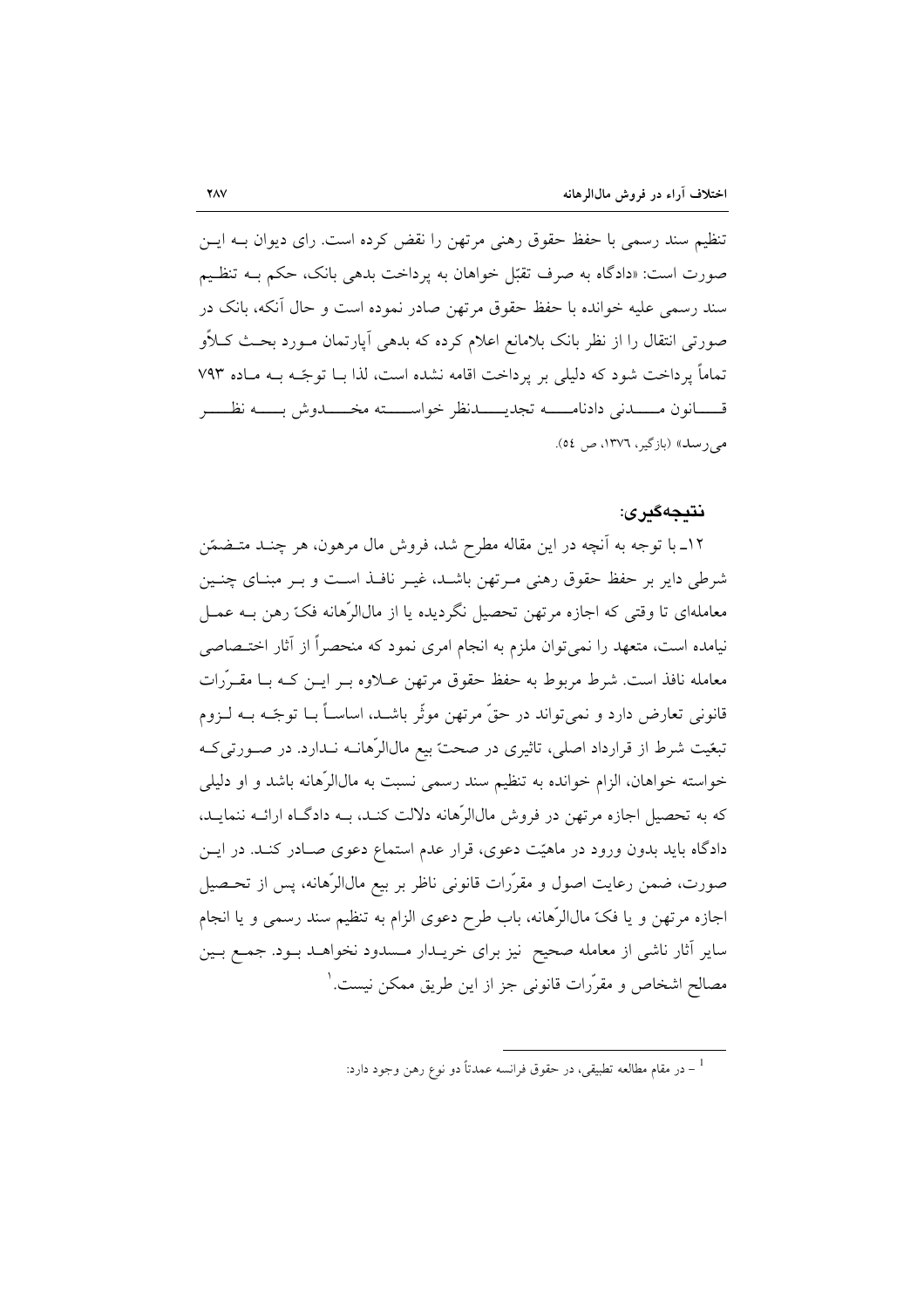تنظیم سند رسمی با حفظ حقوق رهنی مرتهن را نقض کرده است. رای دیوان بــه ایــن صورت است: «دادگاه به صرف تقبّل خواهان به پرداخت بدهی بانک، حکم بـه تنظـیم سند رسمی علیه خوانده با حفظ حقوق مرتهن صادر نموده است و حال آنکه، بانک در صورتی انتقال را از نظر بانک بلامانع اعلام کرده که بدهی آپارتمان مـورد بحـث کــلأو تماماً پرداخت شود که دلیلی بر پرداخت اقامه نشده است، لذا بــا توجّــه بــه مــاده ۷۹۳ قسسانون مسسدني دادنامسسه تجديسسدنظر خواسسسته مخسسدوش يسسه نظسسر می رسد» (بازگیر، ۱۳۷۲، ص ٥٤).

### نتىجەگىرى:

١٢ـ با توجه به آنچه در اين مقاله مطرح شد، فروش مال مرهون، هر چنـد متـضمّن شرطی دایر بر حفظ حقوق رهنی مـرتهن باشـد، غیـر نافـذ اسـت و بـر مبنـای چنـین معاملهای تا وقتی که اجازه مرتهن تحصیل نگردیده یا از مالالرّهانه فکّ رهن بــه عمــل نیامده است، متعهد را نمی توان ملزم به انجام امری نمود که منحصراً از آثار اختـصاصی معامله نافذ است. شرط مربوط به حفظ حقوق مرتهن عــلاوه بــر ايــن كــه بــا مقــرّرات قانونی تعارض دارد و نمیتواند در حقّ مرتهن موثّر باشـد، اساســاً بــا توجّــه بــه لــزوم تبغیت شرط از قرارداد اصلی، تاثیری در صحت بیع مال|ارْهانــه نــدارد. در صــورتی کــه خواسته خواهان، الزام خوانده به تنظیم سند رسمی نسبت به مالاالرِّهانه باشد و او دلیلی که به تحصیل اجازه مرتهن در فروش مالالرّهانه دلالت کنـد، بـه دادگـاه ارائــه ننمایـد، دادگاه باید بدون ورود در ماهیّت دعوی، قرار عدم استماع دعوی صـادر کنــد. در ایــن صورت، ضمن رعایت اصول و مقرَّرات قانونی ناظر بر بیع مالالرِّهانه، پس از تحـصیل اجازه مرتهن و يا فکّ مالالرِّهانه، باب طرح دعوی الزام به تنظیم سند رسمی و يا انجام سایر آثار ناشی از معامله صحیح نیز برای خریــدار مــسدود نخواهــد بــود. جمــع بــین مصالح اشخاص و مقرَّرات قانوني جز از اين طريق ممكن نيست.'

در مقام مطالعه تطبیقی، در حقوق فرانسه عمدتاً دو نوع رهن وجود دارد:  $^{-1}$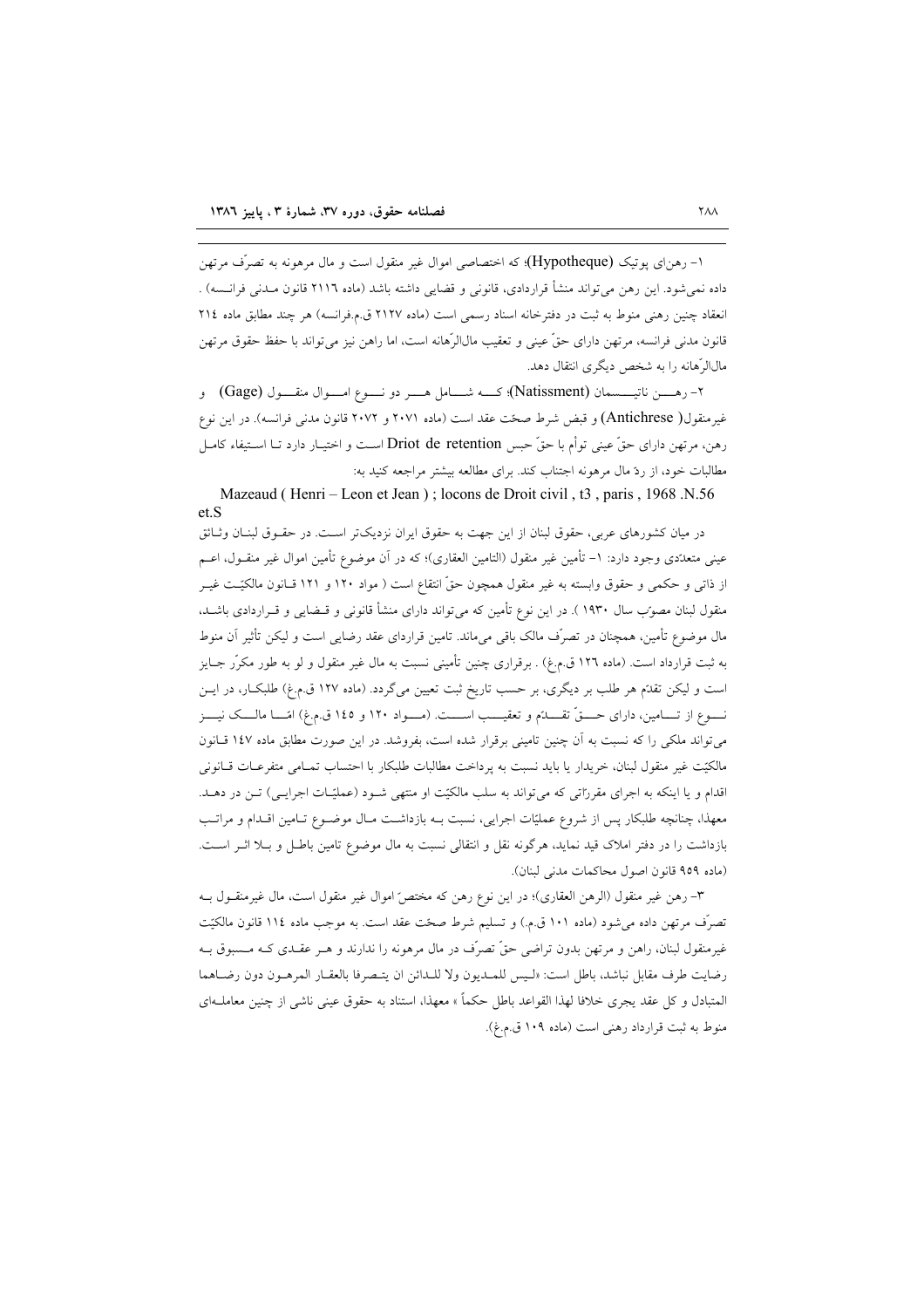۱– رهن|ی پوتیک (Hypotheque)؛ که اختصاصی اموال غیر منقول است و مال مرهونه به تصرّف مرتهن داده نمیشود. این رهن میتواند منشأ قراردادی، قانونی و قضایی داشته باشد (ماده ۲۱۱٦ قانون مـدنی فرانـسه) . انعقاد چنین رهنی منوط به ثبت در دفترخانه اسناد رسمی است (ماده ۲۱۲۷ ق.م.فرانسه) هر چند مطابق ماده ۲۱٤ قانون مدني فرانسه، مرتهن داراي حقٌّ عيني و تعقيب مالالرِّهانه است، اما راهن نيز مي تواند با حفظ حقوق مرتهن مالالرَّهانه را به شخص دیگری انتقال دهد.

۲- رهـــــن ناتيــــــسمان (Natissment)؛ كـــــه شــــــامل هـــــر دو نـــــوع امـــــوال منقــــول (Gage) و غیرمنقول( Antichrese) و قبض شرط صحّت عقد است (ماده ۲۰۷۱ و ۲۰۷۲ قانون مدنی فرانسه). در این نوع رهن، مرتهن داراي حقٍّ عيني توأم با حقٍّ حبس Driot de retention اسـت و اختيـار دارد تـا اسـتيفاء كامـل مطالبات خود، از ردّ مال مرهونه اجتناب کند. برای مطالعه بیشتر مراجعه کنید به:

Mazeaud (Henri - Leon et Jean); locons de Droit civil, t3, paris, 1968.N.56  $et S$ 

در میان کشورهای عربی، حقوق لبنان از این جهت به حقوق ایران نزدیکتر اسـت. در حقــوق لبنــان وثــائق عینی متعدّدی وجود دارد: ١– تأمین غیر منقول (التامین العقاری)؛ که در آن موضوع تأمین اموال غیر منقــول، اعــم از ذاتی و حکمی و حقوق وابسته به غیر منقول همچون حقّ انتقاع است ( مواد ۱۲۰ و ۱۲۱ قـانون مالکیّـت غیــر منقول لبنان مصوّب سال ۱۹۳۰ ). در این نوع تأمین که می¤واند دارای منشأ قانونی و قـضایی و قــراردادی باشــد، مال موضوع تأمین، همچنان در تصرّف مالک باقی میماند. تامین قراردای عقد رضایی است و لیکن تأثیر آن منوط به ثبت قرارداد است. (ماده ۱۲٦ ق.م.غ) . برقراری چنین تأمینی نسبت به مال غیر منقول و لو به طور مکرّر جــایز است و لیکن تقل<sup>ت</sup>م هر طلب بر دیگری، بر حسب تاریخ ثبت تعیین میگردد. (ماده ۱۲۷ ق.م.غ) طلبکـار، در ایــن نــــوع از تـــــامين، داراي حـــــقّ تقـــــلـتم و تعقيـــــب اســـــت. (مـــــواد ١٢٠ و ١٤٥ ق.م.غ) امّــــا مالــــك نيــــز می تواند ملکی را که نسبت به آن چنین تامینی برقرار شده است، بفروشد. در این صورت مطابق ماده ۱٤۷ قبانون مالكيّت غير منقول لبنان، خريدار يا بايد نسبت به پرداخت مطالبات طلبكار با احتساب تمـامى متفرعـات قـانونى اقدام و یا اینکه به اجرای مقرراتی که میتواند به سلب مالکیّت او منتهی شـود (عملیّـات اجرایـی) تـن در دهــد. معهذا، چنانچه طلبکار پس از شروع عملیّات اجرایی، نسبت بـه بازداشـت مـال موضـوع تـامین اقـدام و مراتـب بازداشت را در دفتر املاک قید نماید، هرگونه نقل و انتقالی نسبت به مال موضوع تامین باطل و بـلا اثـر اسـت. (ماده ٩٥٩ قانون اصول محاكمات مدنى لبنان).

٣- رهن غير منقول (الرهن العقاري)؛ در اين نوع رهن كه مختصِّ اموال غير منقول است، مال غيرمنقــول بــه تصرَّف مرتهن داده میشود (ماده ۱۰۱ ق.م.) و تسلیم شرط صحّت عقد است. به موجب ماده ۱۱٤ قانون مالکیّت غیرمنقول لبنان، راهن و مرتهن بدون تراضی حقّ تصرّف در مال مرهونه را ندارند و هــر عقــدی کــه مــسبوق بــه رضايت طرف مقابل نباشد، باطل است: «لـيس للمــديون ولا للـدائن ان يتـصرفا بالعقــار المرهــون دون رضــاهما المتبادل و كل عقد يجرى خلافا لهذا القواعد باطل حكماً » معهذا، استناد به حقوق عيني ناشي از چنين معاملـهاي منوط به ثبت قرارداد رهني است (ماده ١٠٩ ق.م.غ).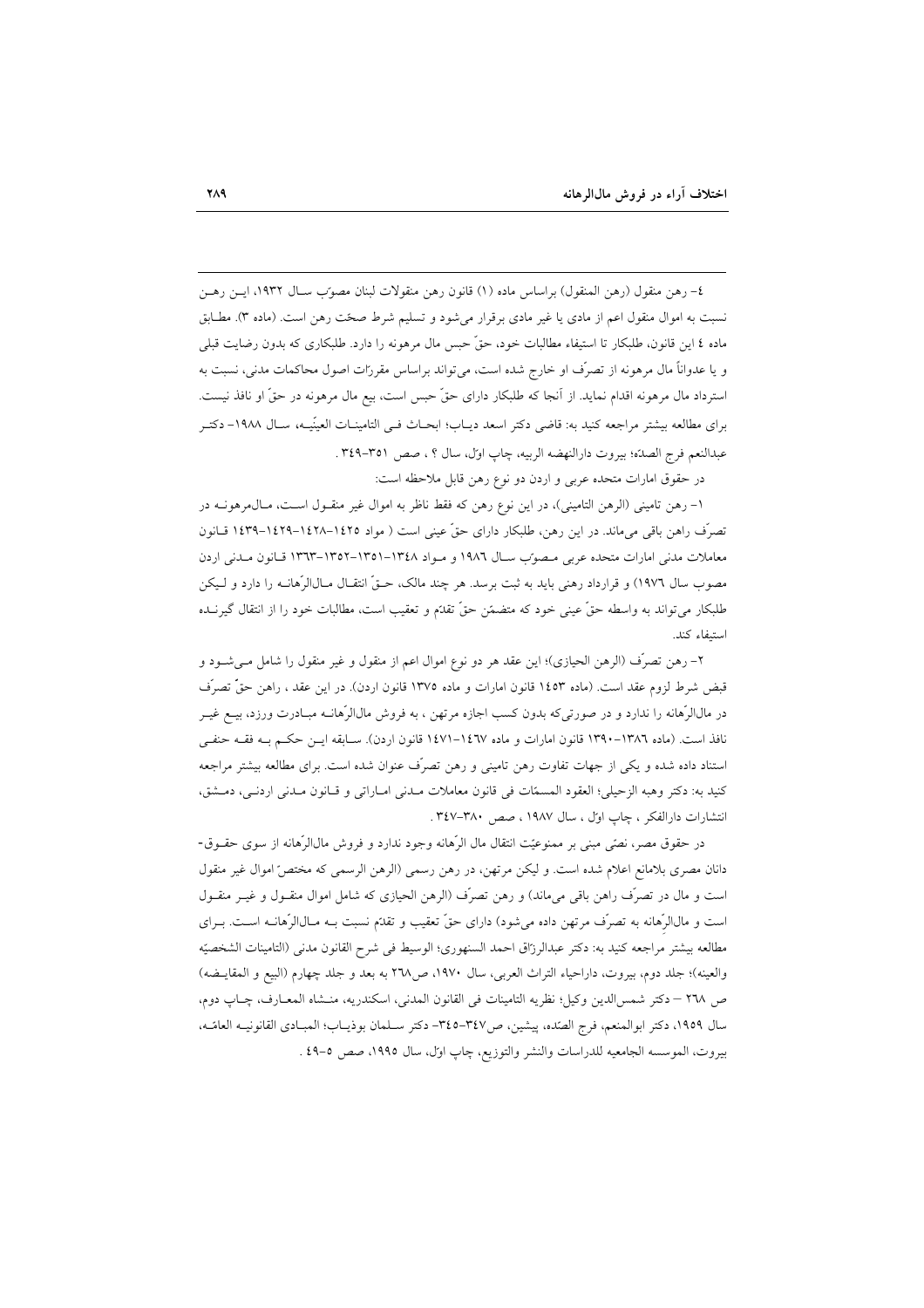٤– رهن منقول (رهن المنقول) براساس ماده (١) قانون رهن منقولات لبنان مصوّب ســال ١٩٣٢، ايــن رهــن نسبت به اموال منقول اعم از مادي يا غير مادي برقرار مي شود و تسليم شرط صحّت رهن است. (ماده ٣). مطــابق ماده ٤ اين قانون، طلبكار تا استيفاء مطالبات خود، حقٌّ حبس مال مرهونه را دارد. طلبكاري كه بدون رضايت قبلي و یا عدواناً مال مرهونه از تصرّف او خارج شده است، می تواند براساس مقررات اصول محاکمات مدنی، نسبت به استرداد مال مرهونه اقدام نماید. از آنجا که طلبکار دارای حقّ حبس است، بیع مال مرهونه در حقّ او نافذ نیست. برای مطالعه بیشتر مراجعه کنید به: قاضی دکتر اسعد دیـاب؛ ابحـاث فـی التامینــات العینَیــه، ســال ۱۹۸۸- دکتــر عبدالنعم فرج الصدّة؛ بيروت دارالنهضه الربيه، چاپ اول، سال ؟ ، صص ٣٥١-٣٤٩ .

در حقوق امارات متحده عربی و اردن دو نوع رهن قابل ملاحظه است:

١- رهن تاميني (الرهن التاميني)، در اين نوع رهن كه فقط ناظر به اموال غير منقــول اســت، مــال٥مرهونــه در تصرّف راهن باقی میماند. در این رهن، طلبکار دارای حقّ عینی است ( مواد ۱٤۲۵–۱٤۲۸–۱٤۳۹–۱٤۳۹ قـانون معاملات مدنی امارات متحده عربی مصوّب سـال ١٩٨٦ و مـواد ١٣٤٨–١٣٥١–١٣٥٢-١٣٣٣ قـانون مـدنى اردن مصوب سال ١٩٧٦) و قرارداد رهني بايد به ثبت برسد. هر چند مالک، حـقّ انتقـال مـالJالرّهانــه را دارد و لـيكن طلبکار می تواند به واسطه حقٌّ عینی خود که متضمّن حقٌّ تقدَّم و تعقیب است، مطالبات خود را از انتقال گیرنــده استيفاء كند.

٢– رهن تصرَّف (الرهن الحيازي)؛ اين عقد هر دو نوع اموال اعم از منقول و غير منقول را شامل مـي شــود و قبض شرط لزوم عقد است. (ماده ۱٤٥٣ قانون امارات و ماده ١٣٧٥ قانون اردن). در اين عقد ، راهن حقٌّ تصرُّف در مالاالرِّهانه را ندارد و در صورتیکه بدون کسب اجازه مرتهن ، به فروش مالالرِّهانــه مبــادرت ورزد، بیــع غیــر نافذ است. (ماده ١٣٨٦–١٣٩٠ قانون امارات و ماده ١٤٦٧–١٤٧١ قانون اردن). ســابقه ايــن حكــم بــه فقــه حنفــي استناد داده شده و یکی از جهات تفاوت رهن تامینی و رهن تصرّف عنوان شده است. برای مطالعه بیشتر مراجعه كنيد به: دكتر وهبه الزحيلي؛ العقود المسمّات في قانون معاملات مـدني امـاراتي و قـانون مـدني اردنـي، دمـشق، انتشارات دارالفكر ، چاپ اول ، سال ١٩٨٧ ، صص ٣٤٧-٣٤٧.

در حقوق مصر، نصِّي مبنى بر ممنوعيَّت انتقال مال الرَّهانه وجود ندارد و فروش مالالرِّهانه از سوى حقــوق-دانان مصری بلامانع اعلام شده است. و لیکن مرتهن، در رهن رسمی (الرهن الرسمی که مختصّ اموال غیر منقول است و مال در تصرّف راهن باقی میماند) و رهن تصرّف (الرهن الحیازی که شامل اموال منقــول و غیــر منقــول است و مالاالرِّهانه به تصرّف مرتهن داده می شود) دارای حقّ تعقیب و تقدّم نسبت بــه مــالاالرّهانــه اســت. بــرای مطالعه بيشتر مراجعه كنيد به: دكتر عبدالرزاق احمد السنهوري؛ الوسيط في شرح القانون مدنى (التامينات الشخصيّه والعينه)؛ جلد دوم، بيروت، داراحياء التراث العربي، سال ١٩٧٠، ص٢٦٨ به بعد و جلد چهارم (البيع و المقايـضه) ص ٢٦٨ – دكتر شمس الدين وكيل؛ نظريه التامينات في القانون المدنى، اسكندريه، منـشاه المعـارف، چـاپ دوم، سال ١٩٥٩، دكتر ابوالمنعم، فرج الصده، پيشين، ص٣٤٧-٣٤٥- دكتر سـلمان بوذيـاب؛ المبـادى القانونيـه العامّـه، بيروت، الموسسه الجامعيه للدراسات والنشر والتوزيع، چاپ اول، سال ١٩٩٥، صص ٥-٤٩ .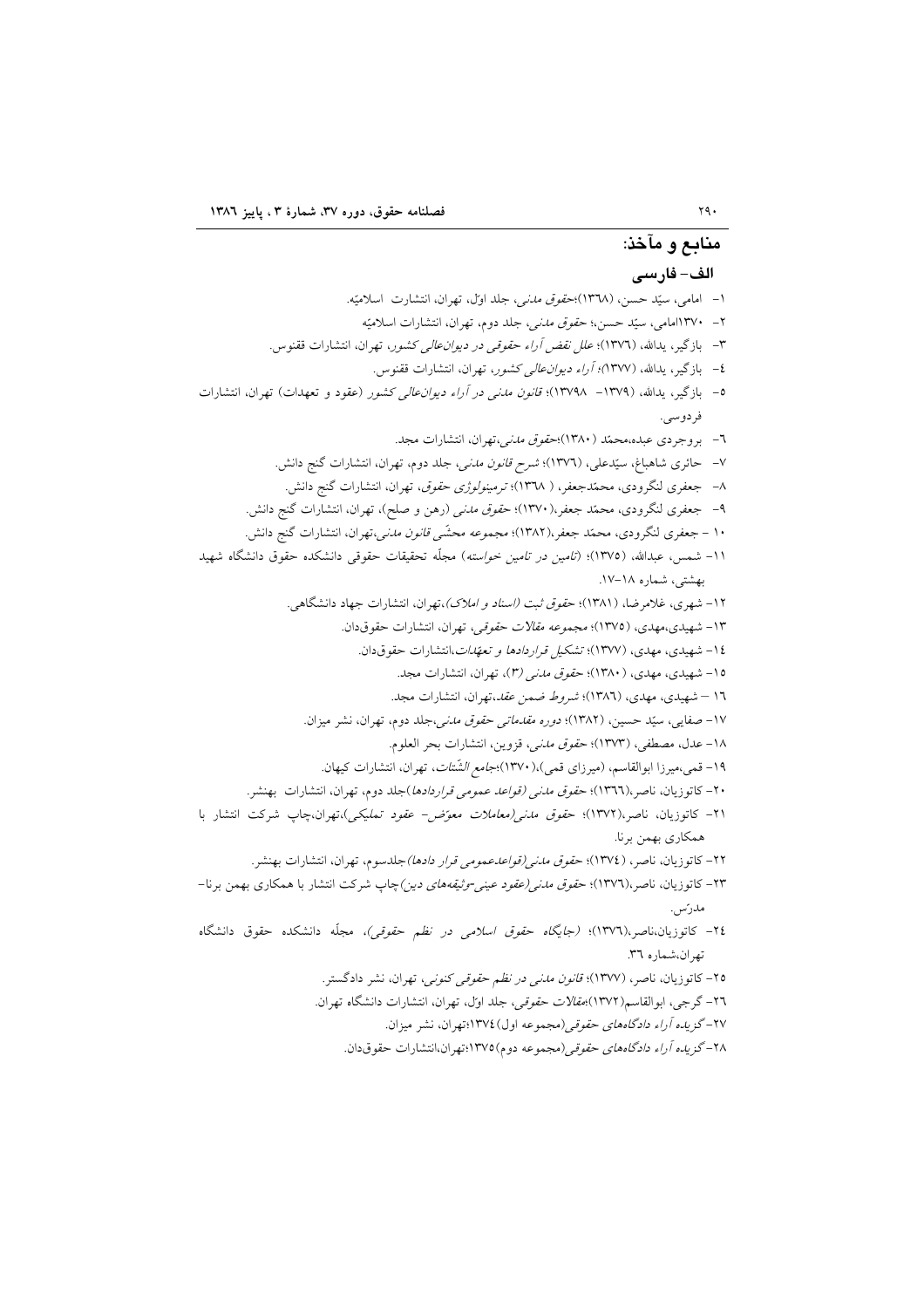۲۸–گز*یده آراء دادگاههای حقوقی(*مجموعه دوم)۱۳۷۵:تهران،انتشارات حقوقدان.